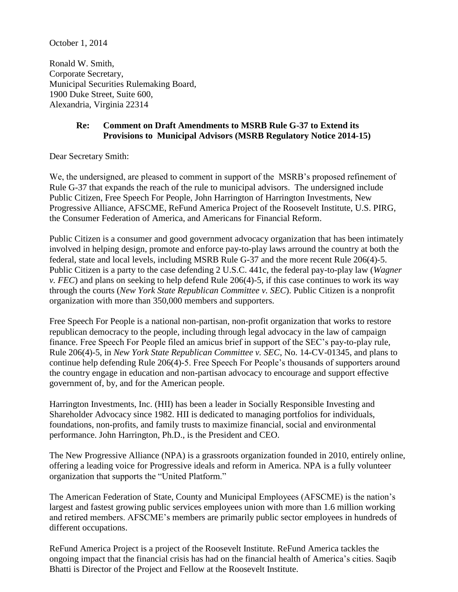October 1, 2014

Ronald W. Smith, Corporate Secretary, Municipal Securities Rulemaking Board, 1900 Duke Street, Suite 600, Alexandria, Virginia 22314

## **Re: Comment on Draft Amendments to MSRB Rule G-37 to Extend its Provisions to Municipal Advisors (MSRB Regulatory Notice 2014-15)**

Dear Secretary Smith:

We, the undersigned, are pleased to comment in support of the MSRB's proposed refinement of Rule G-37 that expands the reach of the rule to municipal advisors. The undersigned include Public Citizen, Free Speech For People, John Harrington of Harrington Investments, New Progressive Alliance, AFSCME, ReFund America Project of the Roosevelt Institute, U.S. PIRG, the Consumer Federation of America, and Americans for Financial Reform.

Public Citizen is a consumer and good government advocacy organization that has been intimately involved in helping design, promote and enforce pay-to-play laws arround the country at both the federal, state and local levels, including MSRB Rule G-37 and the more recent Rule 206(4)-5. Public Citizen is a party to the case defending 2 U.S.C. 441c, the federal pay-to-play law (*Wagner v. FEC*) and plans on seeking to help defend Rule 206(4)-5, if this case continues to work its way through the courts (*New York State Republican Committee v. SEC*). Public Citizen is a nonprofit organization with more than 350,000 members and supporters.

Free Speech For People is a national non-partisan, non-profit organization that works to restore republican democracy to the people, including through legal advocacy in the law of campaign finance. Free Speech For People filed an amicus brief in support of the SEC's pay-to-play rule, Rule 206(4)-5, in *New York State Republican Committee v. SEC*, No. 14-CV-01345, and plans to continue help defending Rule 206(4)-5. Free Speech For People's thousands of supporters around the country engage in education and non-partisan advocacy to encourage and support effective government of, by, and for the American people.

Harrington Investments, Inc. (HII) has been a leader in Socially Responsible Investing and Shareholder Advocacy since 1982. HII is dedicated to managing portfolios for individuals, foundations, non-profits, and family trusts to maximize financial, social and environmental performance. John Harrington, Ph.D., is the President and CEO.

The New Progressive Alliance (NPA) is a grassroots organization founded in 2010, entirely online, offering a leading voice for Progressive ideals and reform in America. NPA is a fully volunteer organization that supports the "United Platform."

The American Federation of State, County and Municipal Employees (AFSCME) is the nation's largest and fastest growing public services employees union with more than 1.6 million working and retired members. AFSCME's members are primarily public sector employees in hundreds of different occupations.

ReFund America Project is a project of the Roosevelt Institute. ReFund America tackles the ongoing impact that the financial crisis has had on the financial health of America's cities. Saqib Bhatti is Director of the Project and Fellow at the Roosevelt Institute.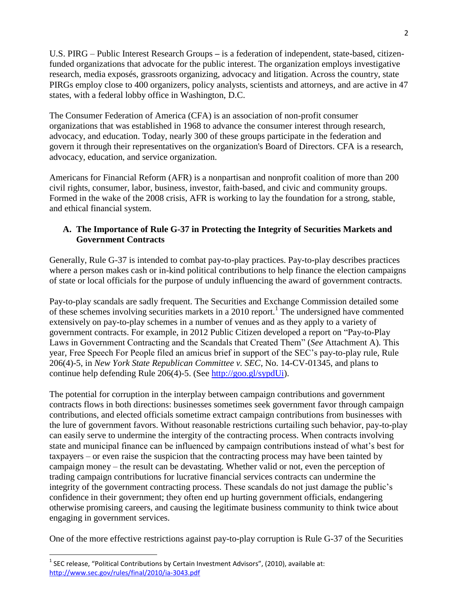U.S. PIRG – Public Interest Research Groups **–** is a federation of independent, state-based, citizenfunded organizations that advocate for the public interest. The organization employs investigative research, media exposés, grassroots organizing, advocacy and litigation. Across the country, state PIRGs employ close to 400 organizers, policy analysts, scientists and attorneys, and are active in 47 states, with a federal lobby office in Washington, D.C.

The Consumer Federation of America (CFA) is an association of non-profit consumer organizations that was established in 1968 to advance the consumer interest through research, advocacy, and education. Today, nearly 300 of these groups participate in the federation and govern it through their representatives on the organization's Board of Directors. CFA is a research, advocacy, education, and service organization.

Americans for Financial Reform (AFR) is a nonpartisan and nonprofit coalition of more than 200 civil rights, consumer, labor, business, investor, faith-based, and civic and community groups. Formed in the wake of the 2008 crisis, AFR is working to lay the foundation for a strong, stable, and ethical financial system.

# **A. The Importance of Rule G-37 in Protecting the Integrity of Securities Markets and Government Contracts**

Generally, Rule G-37 is intended to combat pay-to-play practices. Pay-to-play describes practices where a person makes cash or in-kind political contributions to help finance the election campaigns of state or local officials for the purpose of unduly influencing the award of government contracts.

Pay-to-play scandals are sadly frequent. The Securities and Exchange Commission detailed some of these schemes involving securities markets in a 2010 report.<sup>1</sup> The undersigned have commented extensively on pay-to-play schemes in a number of venues and as they apply to a variety of government contracts. For example, in 2012 Public Citizen developed a report on "Pay-to-Play Laws in Government Contracting and the Scandals that Created Them" (*See* Attachment A). This year, Free Speech For People filed an amicus brief in support of the SEC's pay-to-play rule, Rule 206(4)-5, in *New York State Republican Committee v. SEC*, No. 14-CV-01345, and plans to continue help defending Rule 206(4)-5. (See [http://goo.gl/sypdUi\)](http://goo.gl/sypdUi).

The potential for corruption in the interplay between campaign contributions and government contracts flows in both directions: businesses sometimes seek government favor through campaign contributions, and elected officials sometime extract campaign contributions from businesses with the lure of government favors. Without reasonable restrictions curtailing such behavior, pay-to-play can easily serve to undermine the intergity of the contracting process. When contracts involving state and municipal finance can be influenced by campaign contributions instead of what's best for taxpayers – or even raise the suspicion that the contracting process may have been tainted by campaign money – the result can be devastating. Whether valid or not, even the perception of trading campaign contributions for lucrative financial services contracts can undermine the integrity of the government contracting process. These scandals do not just damage the public's confidence in their government; they often end up hurting government officials, endangering otherwise promising careers, and causing the legitimate business community to think twice about engaging in government services.

One of the more effective restrictions against pay-to-play corruption is Rule G-37 of the Securities

 $\overline{\phantom{a}}$ 

 $^1$  SEC release, "Political Contributions by Certain Investment Advisors", (2010), available at: <http://www.sec.gov/rules/final/2010/ia-3043.pdf>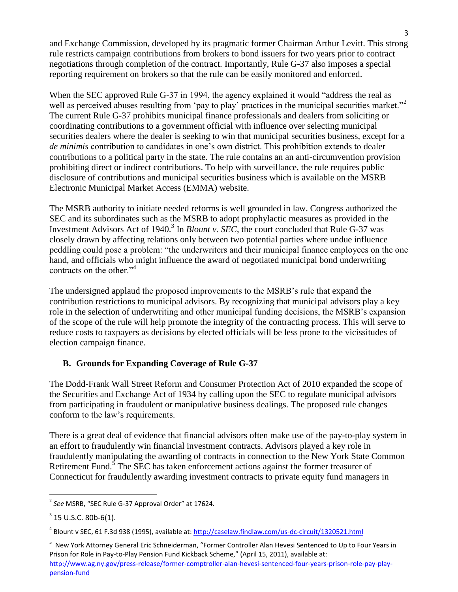and Exchange Commission, developed by its pragmatic former Chairman Arthur Levitt. This strong rule restricts campaign contributions from brokers to bond issuers for two years prior to contract negotiations through completion of the contract. Importantly, Rule G-37 also imposes a special reporting requirement on brokers so that the rule can be easily monitored and enforced.

When the SEC approved Rule G-37 in 1994, the agency explained it would "address the real as well as perceived abuses resulting from 'pay to play' practices in the municipal securities market."<sup>2</sup> The current Rule G-37 prohibits municipal finance professionals and dealers from soliciting or coordinating contributions to a government official with influence over selecting municipal securities dealers where the dealer is seeking to win that municipal securities business, except for a *de minimis* contribution to candidates in one's own district. This prohibition extends to dealer contributions to a political party in the state. The rule contains an an anti-circumvention provision prohibiting direct or indirect contributions. To help with surveillance, the rule requires public disclosure of contributions and municipal securities business which is available on the MSRB Electronic Municipal Market Access (EMMA) website.

The MSRB authority to initiate needed reforms is well grounded in law. Congress authorized the SEC and its subordinates such as the MSRB to adopt prophylactic measures as provided in the Investment Advisors Act of 1940.<sup>3</sup> In *Blount v. SEC*, the court concluded that Rule G-37 was closely drawn by affecting relations only between two potential parties where undue influence peddling could pose a problem: "the underwriters and their municipal finance employees on the one hand, and officials who might influence the award of negotiated municipal bond underwriting contracts on the other."<sup>4</sup>

The undersigned applaud the proposed improvements to the MSRB's rule that expand the contribution restrictions to municipal advisors. By recognizing that municipal advisors play a key role in the selection of underwriting and other municipal funding decisions, the MSRB's expansion of the scope of the rule will help promote the integrity of the contracting process. This will serve to reduce costs to taxpayers as decisions by elected officials will be less prone to the vicissitudes of election campaign finance.

# **B. Grounds for Expanding Coverage of Rule G-37**

The Dodd-Frank Wall Street Reform and Consumer Protection Act of 2010 expanded the scope of the Securities and Exchange Act of 1934 by calling upon the SEC to regulate municipal advisors from participating in fraudulent or manipulative business dealings. The proposed rule changes conform to the law's requirements.

There is a great deal of evidence that financial advisors often make use of the pay-to-play system in an effort to fraudulently win financial investment contracts. Advisors played a key role in fraudulently manipulating the awarding of contracts in connection to the New York State Common Retirement Fund. $5$  The SEC has taken enforcement actions against the former treasurer of Connecticut for fraudulently awarding investment contracts to private equity fund managers in

 $\overline{\phantom{a}}$ 

<sup>5</sup> New York Attorney General Eric Schneiderman, "Former Controller Alan Hevesi Sentenced to Up to Four Years in Prison for Role in Pay-to-Play Pension Fund Kickback Scheme," (April 15, 2011), available at: [http://www.ag.ny.gov/press-release/former-comptroller-alan-hevesi-sentenced-four-years-prison-role-pay-play](http://www.ag.ny.gov/press-release/former-comptroller-alan-hevesi-sentenced-four-years-prison-role-pay-play-pension-fund)[pension-fund](http://www.ag.ny.gov/press-release/former-comptroller-alan-hevesi-sentenced-four-years-prison-role-pay-play-pension-fund)

<sup>2</sup> *See* MSRB, "SEC Rule G-37 Approval Order" at 17624.

 $3$  15 U.S.C. 80b-6(1).

<sup>&</sup>lt;sup>4</sup> Blount v SEC, 61 F.3d 938 (1995), available at: <u>http://caselaw.findlaw.com/us-dc-circuit/1320521.html</u>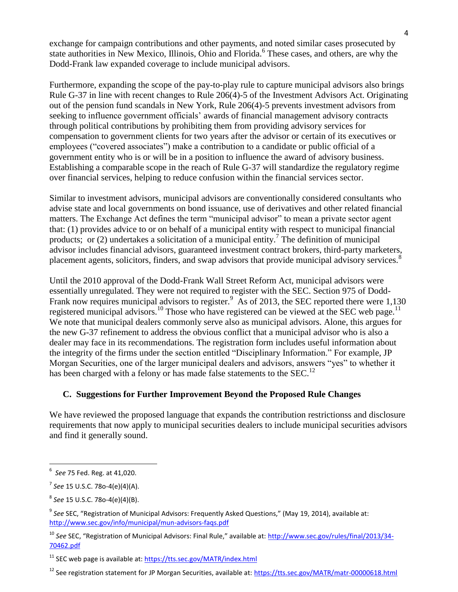exchange for campaign contributions and other payments, and noted similar cases prosecuted by state authorities in New Mexico, Illinois, Ohio and Florida.<sup>6</sup> These cases, and others, are why the Dodd-Frank law expanded coverage to include municipal advisors.

Furthermore, expanding the scope of the pay-to-play rule to capture municipal advisors also brings Rule G-37 in line with recent changes to Rule 206(4)-5 of the Investment Advisors Act. Originating out of the pension fund scandals in New York, Rule 206(4)-5 prevents investment advisors from seeking to influence government officials' awards of financial management advisory contracts through political contributions by prohibiting them from providing advisory services for compensation to government clients for two years after the advisor or certain of its executives or employees ("covered associates") make a contribution to a candidate or public official of a government entity who is or will be in a position to influence the award of advisory business. Establishing a comparable scope in the reach of Rule G-37 will standardize the regulatory regime over financial services, helping to reduce confusion within the financial services sector.

Similar to investment advisors, municipal advisors are conventionally considered consultants who advise state and local governments on bond issuance, use of derivatives and other related financial matters. The Exchange Act defines the term "municipal advisor" to mean a private sector agent that: (1) provides advice to or on behalf of a municipal entity with respect to municipal financial products; or (2) undertakes a solicitation of a municipal entity.<sup>7</sup> The definition of municipal advisor includes financial advisors, guaranteed investment contract brokers, third-party marketers, placement agents, solicitors, finders, and swap advisors that provide municipal advisory services.<sup>8</sup>

Until the 2010 approval of the Dodd-Frank Wall Street Reform Act, municipal advisors were essentially unregulated. They were not required to register with the SEC. Section 975 of Dodd-Frank now requires municipal advisors to register.<sup>9</sup> As of 2013, the SEC reported there were 1,130 registered municipal advisors.<sup>10</sup> Those who have registered can be viewed at the SEC web page.<sup>11</sup> We note that municipal dealers commonly serve also as municipal advisors. Alone, this argues for the new G-37 refinement to address the obvious conflict that a municipal advisor who is also a dealer may face in its recommendations. The registration form includes useful information about the integrity of the firms under the section entitled "Disciplinary Information." For example, JP Morgan Securities, one of the larger municipal dealers and advisors, answers "yes" to whether it has been charged with a felony or has made false statements to the SEC.<sup>12</sup>

## **C. Suggestions for Further Improvement Beyond the Proposed Rule Changes**

We have reviewed the proposed language that expands the contribution restrictionss and disclosure requirements that now apply to municipal securities dealers to include municipal securities advisors and find it generally sound.

 $\overline{a}$ 

<sup>6</sup> *See* 75 Fed. Reg. at 41,020.

<sup>7</sup> *See* 15 U.S.C. 78o-4(e)(4)(A).

<sup>8</sup> *See* 15 U.S.C. 78o-4(e)(4)(B).

<sup>&</sup>lt;sup>9</sup> See SEC, "Registration of Municipal Advisors: Frequently Asked Questions," (May 19, 2014), available at: <http://www.sec.gov/info/municipal/mun-advisors-faqs.pdf>

<sup>10</sup> *See* SEC, "Registration of Municipal Advisors: Final Rule," available at: [http://www.sec.gov/rules/final/2013/34-](http://www.sec.gov/rules/final/2013/34-70462.pdf) [70462.pdf](http://www.sec.gov/rules/final/2013/34-70462.pdf)

<sup>&</sup>lt;sup>11</sup> SEC web page is available at:<https://tts.sec.gov/MATR/index.html>

<sup>&</sup>lt;sup>12</sup> See registration statement for JP Morgan Securities, available at:<https://tts.sec.gov/MATR/matr-00000618.html>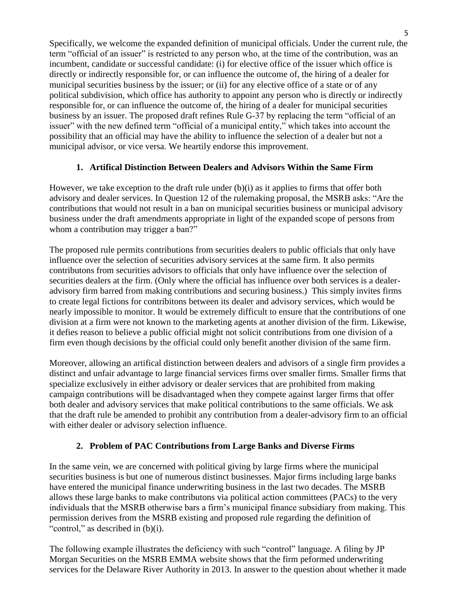Specifically, we welcome the expanded definition of municipal officials. Under the current rule, the term "official of an issuer" is restricted to any person who, at the time of the contribution, was an incumbent, candidate or successful candidate: (i) for elective office of the issuer which office is directly or indirectly responsible for, or can influence the outcome of, the hiring of a dealer for municipal securities business by the issuer; or (ii) for any elective office of a state or of any political subdivision, which office has authority to appoint any person who is directly or indirectly responsible for, or can influence the outcome of, the hiring of a dealer for municipal securities business by an issuer. The proposed draft refines Rule G-37 by replacing the term "official of an issuer" with the new defined term "official of a municipal entity," which takes into account the possibility that an official may have the ability to influence the selection of a dealer but not a municipal advisor, or vice versa. We heartily endorse this improvement.

# **1. Artifical Distinction Between Dealers and Advisors Within the Same Firm**

However, we take exception to the draft rule under  $(b)(i)$  as it applies to firms that offer both advisory and dealer services. In Question 12 of the rulemaking proposal, the MSRB asks: "Are the contributions that would not result in a ban on municipal securities business or municipal advisory business under the draft amendments appropriate in light of the expanded scope of persons from whom a contribution may trigger a ban?"

The proposed rule permits contributions from securities dealers to public officials that only have influence over the selection of securities advisory services at the same firm. It also permits contributons from securities advisors to officials that only have influence over the selection of securities dealers at the firm. (Only where the official has influence over both services is a dealeradvisory firm barred from making contributions and securing business.) This simply invites firms to create legal fictions for contribitons between its dealer and advisory services, which would be nearly impossible to monitor. It would be extremely difficult to ensure that the contributions of one division at a firm were not known to the marketing agents at another division of the firm. Likewise, it defies reason to believe a public official might not solicit contributions from one division of a firm even though decisions by the official could only benefit another division of the same firm.

Moreover, allowing an artifical distinction between dealers and advisors of a single firm provides a distinct and unfair advantage to large financial services firms over smaller firms. Smaller firms that specialize exclusively in either advisory or dealer services that are prohibited from making campaign contributions will be disadvantaged when they compete against larger firms that offer both dealer and advisory services that make political contributions to the same officials. We ask that the draft rule be amended to prohibit any contribution from a dealer-advisory firm to an official with either dealer or advisory selection influence.

# **2. Problem of PAC Contributions from Large Banks and Diverse Firms**

In the same vein, we are concerned with political giving by large firms where the municipal securities business is but one of numerous distinct businesses. Major firms including large banks have entered the municipal finance underwriting business in the last two decades. The MSRB allows these large banks to make contributons via political action committees (PACs) to the very individuals that the MSRB otherwise bars a firm's municipal finance subsidiary from making. This permission derives from the MSRB existing and proposed rule regarding the definition of "control," as described in (b)(i).

The following example illustrates the deficiency with such "control" language. A filing by JP Morgan Securities on the MSRB EMMA website shows that the firm peformed underwriting services for the Delaware River Authority in 2013. In answer to the question about whether it made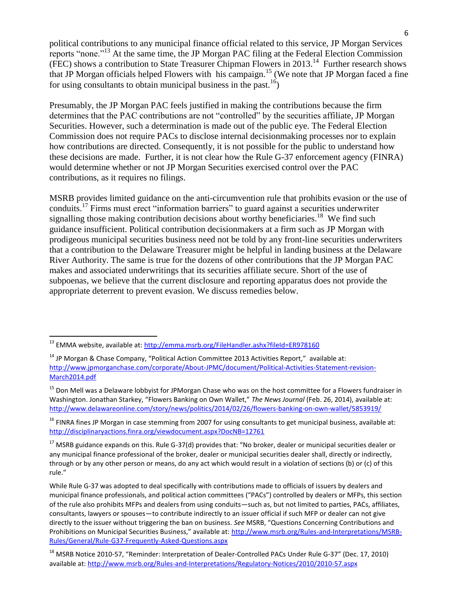political contributions to any municipal finance official related to this service, JP Morgan Services reports "none."<sup>13</sup> At the same time, the JP Morgan PAC filing at the Federal Election Commission  $(FEC)$  shows a contribution to State Treasurer Chipman Flowers in 2013.<sup>14</sup> Further research shows that JP Morgan officials helped Flowers with his campaign.<sup>15</sup> (We note that JP Morgan faced a fine for using consultants to obtain municipal business in the past.<sup>16</sup>)

Presumably, the JP Morgan PAC feels justified in making the contributions because the firm determines that the PAC contributions are not "controlled" by the securities affiliate, JP Morgan Securities. However, such a determination is made out of the public eye. The Federal Election Commission does not require PACs to disclose internal decisionmaking processes nor to explain how contributions are directed. Consequently, it is not possible for the public to understand how these decisions are made. Further, it is not clear how the Rule G-37 enforcement agency (FINRA) would determine whether or not JP Morgan Securities exercised control over the PAC contributions, as it requires no filings.

MSRB provides limited guidance on the anti-circumvention rule that prohibits evasion or the use of conduits.<sup>17</sup> Firms must erect "information barriers" to guard against a securities underwriter signalling those making contribution decisions about worthy beneficiaries.<sup>18</sup> We find such guidance insufficient. Political contribution decisionmakers at a firm such as JP Morgan with prodigeous municipal securities business need not be told by any front-line securities underwriters that a contribution to the Delaware Treasurer might be helpful in landing business at the Delaware River Authority. The same is true for the dozens of other contributions that the JP Morgan PAC makes and associated underwritings that its securities affiliate secure. Short of the use of subpoenas, we believe that the current disclosure and reporting apparatus does not provide the appropriate deterrent to prevent evasion. We discuss remedies below.

l

<sup>&</sup>lt;sup>13</sup> EMMA website, available at: <u>http://emma.msrb.org/FileHandler.ashx?fileId=ER978160</u>

 $14$  JP Morgan & Chase Company, "Political Action Committee 2013 Activities Report," available at: [http://www.jpmorganchase.com/corporate/About-JPMC/document/Political-Activities-Statement-revision-](http://www.jpmorganchase.com/corporate/About-JPMC/document/Political-Activities-Statement-revision-March2014.pdf)[March2014.pdf](http://www.jpmorganchase.com/corporate/About-JPMC/document/Political-Activities-Statement-revision-March2014.pdf)

<sup>&</sup>lt;sup>15</sup> Don Mell was a Delaware lobbyist for JPMorgan Chase who was on the host committee for a Flowers fundraiser in Washington. Jonathan Starkey, "Flowers Banking on Own Wallet," *The News Journal* (Feb. 26, 2014), available at: <http://www.delawareonline.com/story/news/politics/2014/02/26/flowers-banking-on-own-wallet/5853919/>

 $16$  FINRA fines JP Morgan in case stemming from 2007 for using consultants to get municipal business, available at: <http://disciplinaryactions.finra.org/viewdocument.aspx?DocNB=12761>

 $17$  MSRB guidance expands on this. Rule G-37(d) provides that: "No broker, dealer or municipal securities dealer or any municipal finance professional of the broker, dealer or municipal securities dealer shall, directly or indirectly, through or by any other person or means, do any act which would result in a violation of sections (b) or (c) of this rule."

While Rule G-37 was adopted to deal specifically with contributions made to officials of issuers by dealers and municipal finance professionals, and political action committees ("PACs") controlled by dealers or MFPs, this section of the rule also prohibits MFPs and dealers from using conduits—such as, but not limited to parties, PACs, affiliates, consultants, lawyers or spouses—to contribute indirectly to an issuer official if such MFP or dealer can not give directly to the issuer without triggering the ban on business. *See* MSRB, "Questions Concerning Contributions and Prohibitions on Municipal Securities Business," available at: [http://www.msrb.org/Rules-and-Interpretations/MSRB-](http://www.msrb.org/Rules-and-Interpretations/MSRB-Rules/General/Rule-G37-Frequently-Asked-Questions.aspx)[Rules/General/Rule-G37-Frequently-Asked-Questions.aspx](http://www.msrb.org/Rules-and-Interpretations/MSRB-Rules/General/Rule-G37-Frequently-Asked-Questions.aspx)

<sup>&</sup>lt;sup>18</sup> MSRB Notice 2010-57, "Reminder: Interpretation of Dealer-Controlled PACs Under Rule G-37" (Dec. 17, 2010) available at:<http://www.msrb.org/Rules-and-Interpretations/Regulatory-Notices/2010/2010-57.aspx>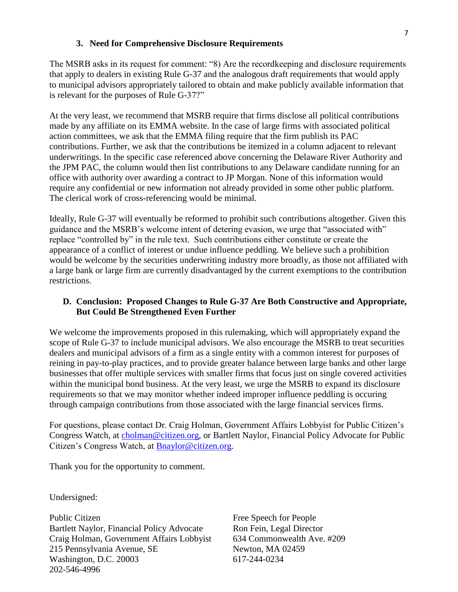#### **3. Need for Comprehensive Disclosure Requirements**

The MSRB asks in its request for comment: "8) Are the recordkeeping and disclosure requirements that apply to dealers in existing Rule G-37 and the analogous draft requirements that would apply to municipal advisors appropriately tailored to obtain and make publicly available information that is relevant for the purposes of Rule G-37?"

At the very least, we recommend that MSRB require that firms disclose all political contributions made by any affiliate on its EMMA website. In the case of large firms with associated political action committees, we ask that the EMMA filing require that the firm publish its PAC contributions. Further, we ask that the contributions be itemized in a column adjacent to relevant underwritings. In the specific case referenced above concerning the Delaware River Authority and the JPM PAC, the column would then list contributions to any Delaware candidate running for an office with authority over awarding a contract to JP Morgan. None of this information would require any confidential or new information not already provided in some other public platform. The clerical work of cross-referencing would be minimal.

Ideally, Rule G-37 will eventually be reformed to prohibit such contributions altogether. Given this guidance and the MSRB's welcome intent of detering evasion, we urge that "associated with" replace "controlled by" in the rule text. Such contributions either constitute or create the appearance of a conflict of interest or undue influence peddling. We believe such a prohibition would be welcome by the securities underwriting industry more broadly, as those not affiliated with a large bank or large firm are currently disadvantaged by the current exemptions to the contribution restrictions.

## **D. Conclusion: Proposed Changes to Rule G-37 Are Both Constructive and Appropriate, But Could Be Strengthened Even Further**

We welcome the improvements proposed in this rulemaking, which will appropriately expand the scope of Rule G-37 to include municipal advisors. We also encourage the MSRB to treat securities dealers and municipal advisors of a firm as a single entity with a common interest for purposes of reining in pay-to-play practices, and to provide greater balance between large banks and other large businesses that offer multiple services with smaller firms that focus just on single covered activities within the municipal bond business. At the very least, we urge the MSRB to expand its disclosure requirements so that we may monitor whether indeed improper influence peddling is occuring through campaign contributions from those associated with the large financial services firms.

For questions, please contact Dr. Craig Holman, Government Affairs Lobbyist for Public Citizen's Congress Watch, at [cholman@citizen.org,](mailto:cholman@citizen.org) or Bartlett Naylor, Financial Policy Advocate for Public Citizen's Congress Watch, at [Bnaylor@citizen.org.](mailto:Bnaylor@citizen.org)

Thank you for the opportunity to comment.

Undersigned:

Public Citizen Bartlett Naylor, Financial Policy Advocate Craig Holman, Government Affairs Lobbyist 215 Pennsylvania Avenue, SE Washington, D.C. 20003 202-546-4996

Free Speech for People Ron Fein, Legal Director 634 Commonwealth Ave. #209 Newton, MA 02459 617-244-0234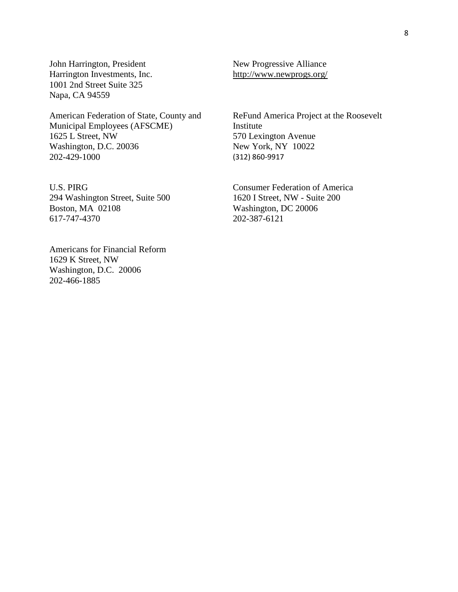John Harrington, President Harrington Investments, Inc. 1001 2nd Street Suite 325 Napa, CA 94559

American Federation of State, County and Municipal Employees (AFSCME) 1625 L Street, NW Washington, D.C. 20036 202-429-1000

U.S. PIRG 294 Washington Street, Suite 500 Boston, MA 02108 617-747-4370

Americans for Financial Reform 1629 K Street, NW Washington, D.C. 20006 202-466-1885

New Progressive Alliance <http://www.newprogs.org/>

ReFund America Project at the Roosevelt Institute 570 Lexington Avenue New York, NY 10022 (312) 860-9917

Consumer Federation of America 1620 I Street, NW - Suite 200 Washington, DC 20006 202-387-6121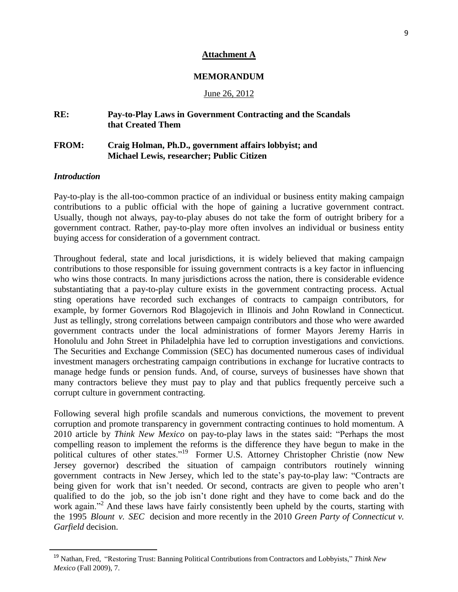#### **Attachment A**

#### **MEMORANDUM**

#### June 26, 2012

# **RE: Pay-to-Play Laws in Government Contracting and the Scandals that Created Them**

### **FROM: Craig Holman, Ph.D., government affairs lobbyist; and Michael Lewis, researcher; Public Citizen**

#### *Introduction*

 $\overline{\phantom{a}}$ 

Pay-to-play is the all-too-common practice of an individual or business entity making campaign contributions to a public official with the hope of gaining a lucrative government contract. Usually, though not always, pay-to-play abuses do not take the form of outright bribery for a government contract. Rather, pay-to-play more often involves an individual or business entity buying access for consideration of a government contract.

Throughout federal, state and local jurisdictions, it is widely believed that making campaign contributions to those responsible for issuing government contracts is a key factor in influencing who wins those contracts. In many jurisdictions across the nation, there is considerable evidence substantiating that a pay-to-play culture exists in the government contracting process. Actual sting operations have recorded such exchanges of contracts to campaign contributors, for example, by former Governors Rod Blagojevich in Illinois and John Rowland in Connecticut. Just as tellingly, strong correlations between campaign contributors and those who were awarded government contracts under the local administrations of former Mayors Jeremy Harris in Honolulu and John Street in Philadelphia have led to corruption investigations and convictions. The Securities and Exchange Commission (SEC) has documented numerous cases of individual investment managers orchestrating campaign contributions in exchange for lucrative contracts to manage hedge funds or pension funds. And, of course, surveys of businesses have shown that many contractors believe they must pay to play and that publics frequently perceive such a corrupt culture in government contracting.

Following several high profile scandals and numerous convictions, the movement to prevent corruption and promote transparency in government contracting continues to hold momentum. A 2010 article by *Think New Mexico* on pay-to-play laws in the states said: "Perhaps the most compelling reason to implement the reforms is the difference they have begun to make in the political cultures of other states."<sup>19</sup> Former U.S. Attorney Christopher Christie (now New Jersey governor) described the situation of campaign contributors routinely winning government contracts in New Jersey, which led to the state's pay-to-play law: "Contracts are being given for work that isn't needed. Or second, contracts are given to people who aren't qualified to do the job, so the job isn't done right and they have to come back and do the work again."<sup>2</sup> And these laws have fairly consistently been upheld by the courts, starting with the 1995 *Blount v. SEC* decision and more recently in the 2010 *Green Party of Connecticut v. Garfield* decision.

<sup>19</sup> Nathan, Fred, "Restoring Trust: Banning Political Contributions from Contractors and Lobbyists," *Think New Mexico* (Fall 2009), 7.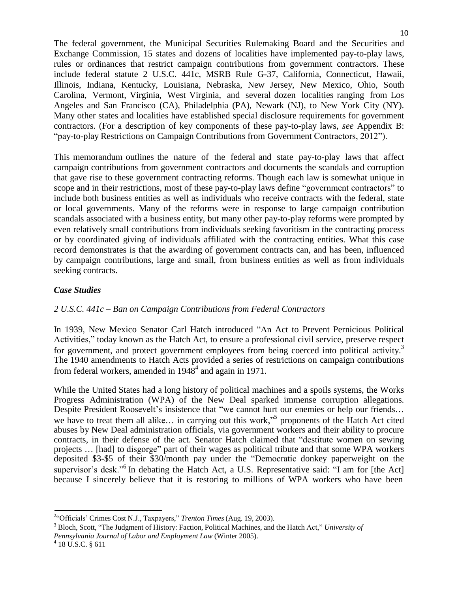The federal government, the Municipal Securities Rulemaking Board and the Securities and Exchange Commission, 15 states and dozens of localities have implemented pay-to-play laws, rules or ordinances that restrict campaign contributions from government contractors. These include federal statute 2 U.S.C. 441c, MSRB Rule G-37, California, Connecticut, Hawaii, Illinois, Indiana, Kentucky, Louisiana, Nebraska, New Jersey, New Mexico, Ohio, South Carolina, Vermont, Virginia, West Virginia, and several dozen localities ranging from Los Angeles and San Francisco (CA), Philadelphia (PA), Newark (NJ), to New York City (NY). Many other states and localities have established special disclosure requirements for government contractors. (For a description of key components of these pay-to-play laws, *see* Appendix B: "pay-to-play Restrictions on Campaign Contributions from Government Contractors, 2012").

This memorandum outlines the nature of the federal and state pay-to-play laws that affect campaign contributions from government contractors and documents the scandals and corruption that gave rise to these government contracting reforms. Though each law is somewhat unique in scope and in their restrictions, most of these pay-to-play laws define "government contractors" to include both business entities as well as individuals who receive contracts with the federal, state or local governments. Many of the reforms were in response to large campaign contribution scandals associated with a business entity, but many other pay-to-play reforms were prompted by even relatively small contributions from individuals seeking favoritism in the contracting process or by coordinated giving of individuals affiliated with the contracting entities. What this case record demonstrates is that the awarding of government contracts can, and has been, influenced by campaign contributions, large and small, from business entities as well as from individuals seeking contracts.

## *Case Studies*

# *2 U.S.C. 441c – Ban on Campaign Contributions from Federal Contractors*

In 1939, New Mexico Senator Carl Hatch introduced "An Act to Prevent Pernicious Political Activities," today known as the Hatch Act, to ensure a professional civil service, preserve respect for government, and protect government employees from being coerced into political activity.<sup>3</sup> The 1940 amendments to Hatch Acts provided a series of restrictions on campaign contributions from federal workers, amended in  $1948^4$  and again in 1971.

While the United States had a long history of political machines and a spoils systems, the Works Progress Administration (WPA) of the New Deal sparked immense corruption allegations. Despite President Roosevelt's insistence that "we cannot hurt our enemies or help our friends… we have to treat them all alike... in carrying out this work,"<sup>5</sup> proponents of the Hatch Act cited abuses by New Deal administration officials, via government workers and their ability to procure contracts, in their defense of the act. Senator Hatch claimed that "destitute women on sewing projects … [had] to disgorge" part of their wages as political tribute and that some WPA workers deposited \$3-\$5 of their \$30/month pay under the "Democratic donkey paperweight on the supervisor's desk."<sup>6</sup> In debating the Hatch Act, a U.S. Representative said: "I am for [the Act] because I sincerely believe that it is restoring to millions of WPA workers who have been

*Pennsylvania Journal of Labor and Employment Law* (Winter 2005).

<sup>2</sup> "Officials' Crimes Cost N.J., Taxpayers," *Trenton Times* (Aug. 19, 2003).

<sup>3</sup> Bloch, Scott, "The Judgment of History: Faction, Political Machines, and the Hatch Act," *University of*

 $4$  18 U.S.C. § 611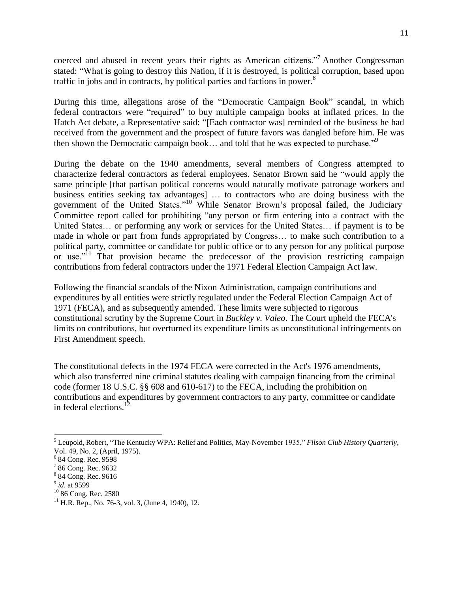coerced and abused in recent years their rights as American citizens."<sup>7</sup> Another Congressman stated: "What is going to destroy this Nation, if it is destroyed, is political corruption, based upon traffic in jobs and in contracts, by political parties and factions in power.<sup>8</sup>

During this time, allegations arose of the "Democratic Campaign Book" scandal, in which federal contractors were "required" to buy multiple campaign books at inflated prices. In the Hatch Act debate, a Representative said: "[Each contractor was] reminded of the business he had received from the government and the prospect of future favors was dangled before him. He was then shown the Democratic campaign book... and told that he was expected to purchase."<sup>9</sup>

During the debate on the 1940 amendments, several members of Congress attempted to characterize federal contractors as federal employees. Senator Brown said he "would apply the same principle [that partisan political concerns would naturally motivate patronage workers and business entities seeking tax advantages] … to contractors who are doing business with the government of the United States."<sup>10</sup> While Senator Brown's proposal failed, the Judiciary Committee report called for prohibiting "any person or firm entering into a contract with the United States… or performing any work or services for the United States… if payment is to be made in whole or part from funds appropriated by Congress… to make such contribution to a political party, committee or candidate for public office or to any person for any political purpose or use. $i<sup>11</sup>$  That provision became the predecessor of the provision restricting campaign contributions from federal contractors under the 1971 Federal Election Campaign Act law.

Following the financial scandals of the Nixon Administration, campaign contributions and expenditures by all entities were strictly regulated under the Federal Election Campaign Act of 1971 (FECA), and as subsequently amended. These limits were subjected to rigorous constitutional scrutiny by the Supreme Court in *Buckley v. Valeo*. The Court upheld the FECA's limits on contributions, but overturned its expenditure limits as unconstitutional infringements on First Amendment speech.

The constitutional defects in the 1974 FECA were corrected in the Act's 1976 amendments, which also transferred nine criminal statutes dealing with campaign financing from the criminal code (former 18 U.S.C. §§ 608 and 610-617) to the FECA, including the prohibition on contributions and expenditures by government contractors to any party, committee or candidate in federal elections. $^{12}$ 

<sup>5</sup> Leupold, Robert, "The Kentucky WPA: Relief and Politics, May-November 1935," *Filson Club History Quarterly*, Vol. 49, No. 2, (April, 1975).

<sup>6</sup> 84 Cong. Rec. 9598

<sup>&</sup>lt;sup>7</sup> 86 Cong. Rec. 9632

<sup>8</sup> 84 Cong. Rec. 9616

<sup>9</sup> *id*. at 9599

<sup>&</sup>lt;sup>10</sup> 86 Cong. Rec. 2580

 $11$  H.R. Rep., No. 76-3, vol. 3, (June 4, 1940), 12.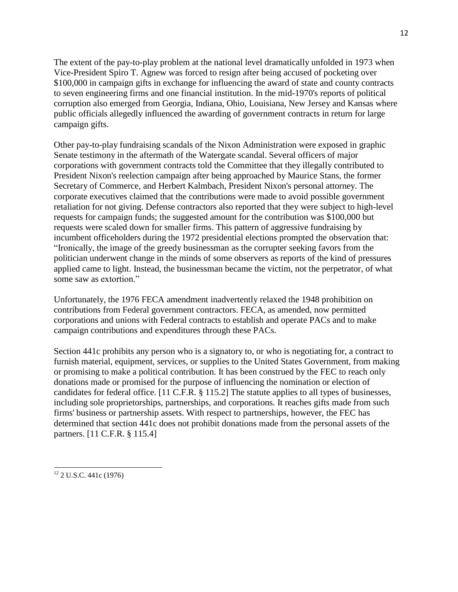The extent of the pay-to-play problem at the national level dramatically unfolded in 1973 when Vice-President Spiro T. Agnew was forced to resign after being accused of pocketing over \$100,000 in campaign gifts in exchange for influencing the award of state and county contracts to seven engineering firms and one financial institution. In the mid-1970's reports of political corruption also emerged from Georgia, Indiana, Ohio, Louisiana, New Jersey and Kansas where public officials allegedly influenced the awarding of government contracts in return for large campaign gifts.

Other pay-to-play fundraising scandals of the Nixon Administration were exposed in graphic Senate testimony in the aftermath of the Watergate scandal. Several officers of major corporations with government contracts told the Committee that they illegally contributed to President Nixon's reelection campaign after being approached by Maurice Stans, the former Secretary of Commerce, and Herbert Kalmbach, President Nixon's personal attorney. The corporate executives claimed that the contributions were made to avoid possible government retaliation for not giving. Defense contractors also reported that they were subject to high-level requests for campaign funds; the suggested amount for the contribution was \$100,000 but requests were scaled down for smaller firms. This pattern of aggressive fundraising by incumbent officeholders during the 1972 presidential elections prompted the observation that: "Ironically, the image of the greedy businessman as the corrupter seeking favors from the politician underwent change in the minds of some observers as reports of the kind of pressures applied came to light. Instead, the businessman became the victim, not the perpetrator, of what some saw as extortion."

Unfortunately, the 1976 FECA amendment inadvertently relaxed the 1948 prohibition on contributions from Federal government contractors. FECA, as amended, now permitted corporations and unions with Federal contracts to establish and operate PACs and to make campaign contributions and expenditures through these PACs.

Section 441c prohibits any person who is a signatory to, or who is negotiating for, a contract to furnish material, equipment, services, or supplies to the United States Government, from making or promising to make a political contribution. It has been construed by the FEC to reach only donations made or promised for the purpose of influencing the nomination or election of candidates for federal office. [11 C.F.R. § 115.2] The statute applies to all types of businesses, including sole proprietorships, partnerships, and corporations. It reaches gifts made from such firms' business or partnership assets. With respect to partnerships, however, the FEC has determined that section 441c does not prohibit donations made from the personal assets of the partners. [11 C.F.R. § 115.4]

<sup>12</sup> 2 U.S.C. 441c (1976)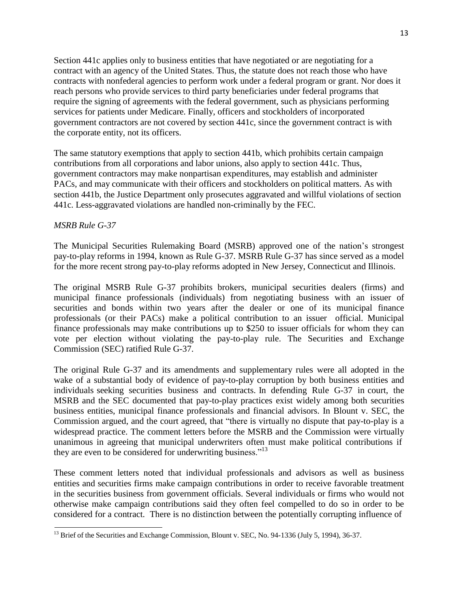Section 441c applies only to business entities that have negotiated or are negotiating for a contract with an agency of the United States. Thus, the statute does not reach those who have contracts with nonfederal agencies to perform work under a federal program or grant. Nor does it reach persons who provide services to third party beneficiaries under federal programs that require the signing of agreements with the federal government, such as physicians performing services for patients under Medicare. Finally, officers and stockholders of incorporated government contractors are not covered by section 441c, since the government contract is with the corporate entity, not its officers.

The same statutory exemptions that apply to section 441b, which prohibits certain campaign contributions from all corporations and labor unions, also apply to section 441c. Thus, government contractors may make nonpartisan expenditures, may establish and administer PACs, and may communicate with their officers and stockholders on political matters. As with section 441b, the Justice Department only prosecutes aggravated and willful violations of section 441c. Less-aggravated violations are handled non-criminally by the FEC.

#### *MSRB Rule G-37*

The Municipal Securities Rulemaking Board (MSRB) approved one of the nation's strongest pay-to-play reforms in 1994, known as Rule G-37. MSRB Rule G-37 has since served as a model for the more recent strong pay-to-play reforms adopted in New Jersey, Connecticut and Illinois.

The original MSRB Rule G-37 prohibits brokers, municipal securities dealers (firms) and municipal finance professionals (individuals) from negotiating business with an issuer of securities and bonds within two years after the dealer or one of its municipal finance professionals (or their PACs) make a political contribution to an issuer official. Municipal finance professionals may make contributions up to \$250 to issuer officials for whom they can vote per election without violating the pay-to-play rule. The Securities and Exchange Commission (SEC) ratified Rule G-37.

The original Rule G-37 and its amendments and supplementary rules were all adopted in the wake of a substantial body of evidence of pay-to-play corruption by both business entities and individuals seeking securities business and contracts. In defending Rule G-37 in court, the MSRB and the SEC documented that pay-to-play practices exist widely among both securities business entities, municipal finance professionals and financial advisors. In Blount v. SEC, the Commission argued, and the court agreed, that "there is virtually no dispute that pay-to-play is a widespread practice. The comment letters before the MSRB and the Commission were virtually unanimous in agreeing that municipal underwriters often must make political contributions if they are even to be considered for underwriting business."<sup>13</sup>

These comment letters noted that individual professionals and advisors as well as business entities and securities firms make campaign contributions in order to receive favorable treatment in the securities business from government officials. Several individuals or firms who would not otherwise make campaign contributions said they often feel compelled to do so in order to be considered for a contract. There is no distinction between the potentially corrupting influence of

<sup>&</sup>lt;sup>13</sup> Brief of the Securities and Exchange Commission, Blount v. SEC, No. 94-1336 (July 5, 1994), 36-37.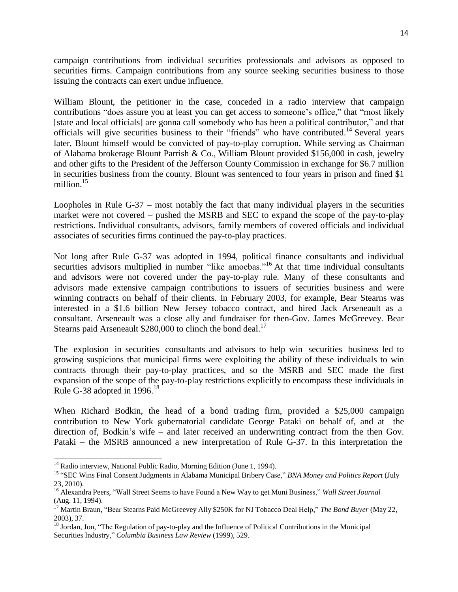campaign contributions from individual securities professionals and advisors as opposed to securities firms. Campaign contributions from any source seeking securities business to those issuing the contracts can exert undue influence.

William Blount, the petitioner in the case, conceded in a radio interview that campaign contributions "does assure you at least you can get access to someone's office," that "most likely [state and local officials] are gonna call somebody who has been a political contributor," and that officials will give securities business to their "friends" who have contributed.<sup>14</sup> Several years later, Blount himself would be convicted of pay-to-play corruption. While serving as Chairman of Alabama brokerage Blount Parrish & Co., William Blount provided \$156,000 in cash, jewelry and other gifts to the President of the Jefferson County Commission in exchange for \$6.7 million in securities business from the county. Blount was sentenced to four years in prison and fined \$1 million. $15$ 

Loopholes in Rule G-37 – most notably the fact that many individual players in the securities market were not covered – pushed the MSRB and SEC to expand the scope of the pay-to-play restrictions. Individual consultants, advisors, family members of covered officials and individual associates of securities firms continued the pay-to-play practices.

Not long after Rule G-37 was adopted in 1994, political finance consultants and individual securities advisors multiplied in number "like amoebas."<sup>16</sup> At that time individual consultants and advisors were not covered under the pay-to-play rule. Many of these consultants and advisors made extensive campaign contributions to issuers of securities business and were winning contracts on behalf of their clients. In February 2003, for example, Bear Stearns was interested in a \$1.6 billion New Jersey tobacco contract, and hired Jack Arseneault as a consultant. Arseneault was a close ally and fundraiser for then-Gov. James McGreevey. Bear Stearns paid Arseneault  $$280,000$  to clinch the bond deal.<sup>17</sup>

The explosion in securities consultants and advisors to help win securities business led to growing suspicions that municipal firms were exploiting the ability of these individuals to win contracts through their pay-to-play practices, and so the MSRB and SEC made the first expansion of the scope of the pay-to-play restrictions explicitly to encompass these individuals in Rule G-38 adopted in  $1996$ .<sup>18</sup>

When Richard Bodkin, the head of a bond trading firm, provided a \$25,000 campaign contribution to New York gubernatorial candidate George Pataki on behalf of, and at the direction of, Bodkin's wife – and later received an underwriting contract from the then Gov. Pataki – the MSRB announced a new interpretation of Rule G-37. In this interpretation the

<sup>&</sup>lt;sup>14</sup> Radio interview, National Public Radio, Morning Edition (June 1, 1994).

<sup>15</sup> "SEC Wins Final Consent Judgments in Alabama Municipal Bribery Case," *BNA Money and Politics Report* (July 23, 2010).

<sup>16</sup> Alexandra Peers, "Wall Street Seems to have Found a New Way to get Muni Business," *Wall Street Journal* (Aug. 11, 1994).

<sup>17</sup> Martin Braun, "Bear Stearns Paid McGreevey Ally \$250K for NJ Tobacco Deal Help," *The Bond Buyer* (May 22, 2003), 37.

<sup>&</sup>lt;sup>18</sup> Jordan, Jon, "The Regulation of pay-to-play and the Influence of Political Contributions in the Municipal Securities Industry," *Columbia Business Law Review* (1999), 529.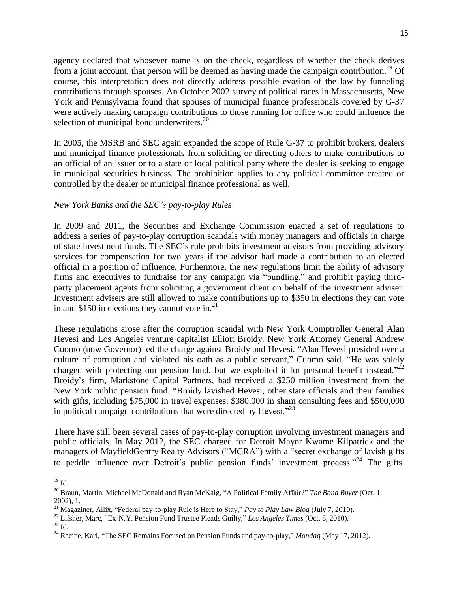agency declared that whosever name is on the check, regardless of whether the check derives from a joint account, that person will be deemed as having made the campaign contribution.<sup>19</sup> Of course, this interpretation does not directly address possible evasion of the law by funneling contributions through spouses. An October 2002 survey of political races in Massachusetts, New York and Pennsylvania found that spouses of municipal finance professionals covered by G-37 were actively making campaign contributions to those running for office who could influence the selection of municipal bond underwriters.<sup>20</sup>

In 2005, the MSRB and SEC again expanded the scope of Rule G-37 to prohibit brokers, dealers and municipal finance professionals from soliciting or directing others to make contributions to an official of an issuer or to a state or local political party where the dealer is seeking to engage in municipal securities business. The prohibition applies to any political committee created or controlled by the dealer or municipal finance professional as well.

#### *New York Banks and the SEC's pay-to-play Rules*

In 2009 and 2011, the Securities and Exchange Commission enacted a set of regulations to address a series of pay-to-play corruption scandals with money managers and officials in charge of state investment funds. The SEC's rule prohibits investment advisors from providing advisory services for compensation for two years if the advisor had made a contribution to an elected official in a position of influence. Furthermore, the new regulations limit the ability of advisory firms and executives to fundraise for any campaign via "bundling," and prohibit paying thirdparty placement agents from soliciting a government client on behalf of the investment adviser. Investment advisers are still allowed to make contributions up to \$350 in elections they can vote in and \$150 in elections they cannot vote in. $^{21}$ 

These regulations arose after the corruption scandal with New York Comptroller General Alan Hevesi and Los Angeles venture capitalist Elliott Broidy. New York Attorney General Andrew Cuomo (now Governor) led the charge against Broidy and Hevesi. "Alan Hevesi presided over a culture of corruption and violated his oath as a public servant," Cuomo said. "He was solely charged with protecting our pension fund, but we exploited it for personal benefit instead."<sup>22</sup> Broidy's firm, Markstone Capital Partners, had received a \$250 million investment from the New York public pension fund. "Broidy lavished Hevesi, other state officials and their families with gifts, including \$75,000 in travel expenses, \$380,000 in sham consulting fees and \$500,000 in political campaign contributions that were directed by Hevesi. $^{23}$ 

There have still been several cases of pay-to-play corruption involving investment managers and public officials. In May 2012, the SEC charged for Detroit Mayor Kwame Kilpatrick and the managers of MayfieldGentry Realty Advisors ("MGRA") with a "secret exchange of lavish gifts to peddle influence over Detroit's public pension funds' investment process."<sup>24</sup> The gifts

 $19$  Id.

<sup>20</sup> Braun, Martin, Michael McDonald and Ryan McKaig, "A Political Family Affair?" *The Bond Buyer* (Oct. 1, 2002), 1.

<sup>21</sup> Magaziner, Allix, "Federal pay-to-play Rule is Here to Stay," *Pay to Play Law Blog* (July 7, 2010).

<sup>22</sup> Lifsher, Marc, "Ex-N.Y. Pension Fund Trustee Pleads Guilty," *Los Angeles Times* (Oct. 8, 2010).

 $^{23}$  Id.  $\,$ 

<sup>24</sup> Racine, Karl, "The SEC Remains Focused on Pension Funds and pay-to-play," *Mondaq* (May 17, 2012).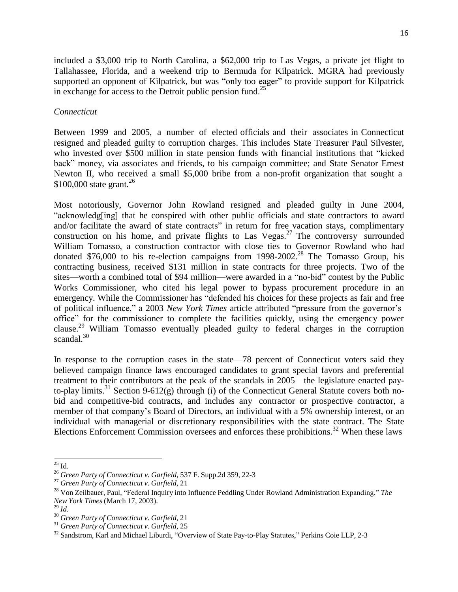included a \$3,000 trip to North Carolina, a \$62,000 trip to Las Vegas, a private jet flight to Tallahassee, Florida, and a weekend trip to Bermuda for Kilpatrick. MGRA had previously supported an opponent of Kilpatrick, but was "only too eager" to provide support for Kilpatrick in exchange for access to the Detroit public pension fund.<sup>25</sup>

#### *Connecticut*

Between 1999 and 2005, a number of elected officials and their associates in Connecticut resigned and pleaded guilty to corruption charges. This includes State Treasurer Paul Silvester, who invested over \$500 million in state pension funds with financial institutions that "kicked back" money, via associates and friends, to his campaign committee; and State Senator Ernest Newton II, who received a small \$5,000 bribe from a non-profit organization that sought a \$100,000 state grant.<sup>26</sup>

Most notoriously, Governor John Rowland resigned and pleaded guilty in June 2004, "acknowledg[ing] that he conspired with other public officials and state contractors to award and/or facilitate the award of state contracts" in return for free vacation stays, complimentary construction on his home, and private flights to Las Vegas.<sup>27</sup> The controversy surrounded William Tomasso, a construction contractor with close ties to Governor Rowland who had donated \$76,000 to his re-election campaigns from  $1998-2002<sup>28</sup>$  The Tomasso Group, his contracting business, received \$131 million in state contracts for three projects. Two of the sites—worth a combined total of \$94 million—were awarded in a "no-bid" contest by the Public Works Commissioner, who cited his legal power to bypass procurement procedure in an emergency. While the Commissioner has "defended his choices for these projects as fair and free of political influence," a 2003 *New York Times* article attributed "pressure from the governor's office" for the commissioner to complete the facilities quickly, using the emergency power clause.<sup>29</sup> William Tomasso eventually pleaded guilty to federal charges in the corruption scandal.<sup>30</sup>

In response to the corruption cases in the state—78 percent of Connecticut voters said they believed campaign finance laws encouraged candidates to grant special favors and preferential treatment to their contributors at the peak of the scandals in 2005—the legislature enacted payto-play limits.<sup>31</sup> Section 9-612(g) through (i) of the Connecticut General Statute covers both nobid and competitive-bid contracts, and includes any contractor or prospective contractor, a member of that company's Board of Directors, an individual with a 5% ownership interest, or an individual with managerial or discretionary responsibilities with the state contract. The State Elections Enforcement Commission oversees and enforces these prohibitions.<sup>32</sup> When these laws

 $^{25}$  Id.

<sup>26</sup> *Green Party of Connecticut v. Garfield*, 537 F. Supp.2d 359, 22-3

<sup>27</sup> *Green Party of Connecticut v. Garfield*, 21

<sup>28</sup> Von Zeilbauer, Paul, "Federal Inquiry into Influence Peddling Under Rowland Administration Expanding," *The New York Times* (March 17, 2003).

<sup>29</sup> *Id.*

<sup>30</sup> *Green Party of Connecticut v. Garfield*, 21

<sup>31</sup> *Green Party of Connecticut v. Garfield*, 25

<sup>&</sup>lt;sup>32</sup> Sandstrom, Karl and Michael Liburdi, "Overview of State Pay-to-Play Statutes," Perkins Coie LLP, 2-3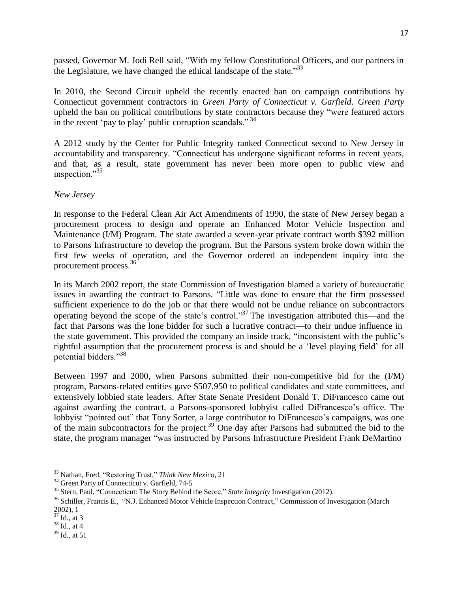passed, Governor M. Jodi Rell said, "With my fellow Constitutional Officers, and our partners in the Legislature, we have changed the ethical landscape of the state."<sup>33</sup>

In 2010, the Second Circuit upheld the recently enacted ban on campaign contributions by Connecticut government contractors in *Green Party of Connecticut v. Garfield*. *Green Party* upheld the ban on political contributions by state contractors because they "were featured actors in the recent 'pay to play' public corruption scandals."<sup>34</sup>

A 2012 study by the Center for Public Integrity ranked Connecticut second to New Jersey in accountability and transparency. "Connecticut has undergone significant reforms in recent years, and that, as a result, state government has never been more open to public view and inspection."<sup>35</sup>

#### *New Jersey*

In response to the Federal Clean Air Act Amendments of 1990, the state of New Jersey began a procurement process to design and operate an Enhanced Motor Vehicle Inspection and Maintenance (I/M) Program. The state awarded a seven-year private contract worth \$392 million to Parsons Infrastructure to develop the program. But the Parsons system broke down within the first few weeks of operation, and the Governor ordered an independent inquiry into the procurement process.<sup>36</sup>

In its March 2002 report, the state Commission of Investigation blamed a variety of bureaucratic issues in awarding the contract to Parsons. "Little was done to ensure that the firm possessed sufficient experience to do the job or that there would not be undue reliance on subcontractors operating beyond the scope of the state's control."<sup>37</sup> The investigation attributed this—and the fact that Parsons was the lone bidder for such a lucrative contract—to their undue influence in the state government. This provided the company an inside track, "inconsistent with the public's rightful assumption that the procurement process is and should be a 'level playing field' for all potential bidders."<sup>38</sup>

Between 1997 and 2000, when Parsons submitted their non-competitive bid for the (I/M) program, Parsons-related entities gave \$507,950 to political candidates and state committees, and extensively lobbied state leaders. After State Senate President Donald T. DiFrancesco came out against awarding the contract, a Parsons-sponsored lobbyist called DiFrancesco's office. The lobbyist "pointed out" that Tony Sorter, a large contributor to DiFrancesco's campaigns, was one of the main subcontractors for the project.<sup>39</sup> One day after Parsons had submitted the bid to the state, the program manager "was instructed by Parsons Infrastructure President Frank DeMartino

<sup>33</sup> Nathan, Fred, "Restoring Trust," *Think New Mexico*, 21

<sup>&</sup>lt;sup>34</sup> Green Party of Connecticut v. Garfield, 74-5

<sup>35</sup> Stern, Paul, "Connecticut: The Story Behind the Score," *State Integrity* Investigation (2012).

<sup>&</sup>lt;sup>36</sup> Schiller, Francis E., "N.J. Enhanced Motor Vehicle Inspection Contract," Commission of Investigation (March 2002), 1

 $37$  Id., at 3

 $38$  Id., at 4

<sup>39</sup> Id., at 51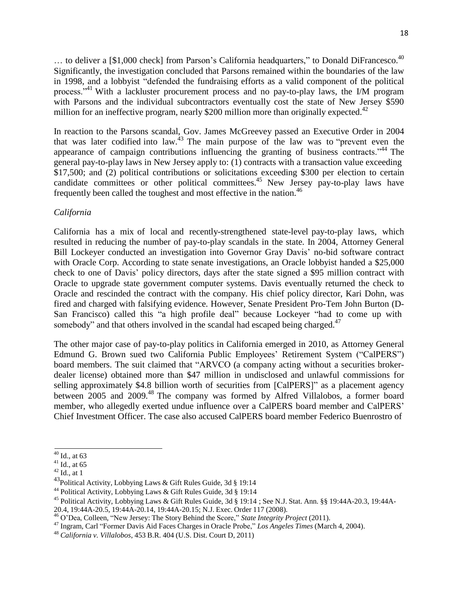$\ldots$  to deliver a [\$1,000 check] from Parson's California headquarters," to Donald DiFrancesco.<sup>40</sup> Significantly, the investigation concluded that Parsons remained within the boundaries of the law in 1998, and a lobbyist "defended the fundraising efforts as a valid component of the political process."<sup>41</sup> With a lackluster procurement process and no pay-to-play laws, the I/M program with Parsons and the individual subcontractors eventually cost the state of New Jersey \$590 million for an ineffective program, nearly \$200 million more than originally expected.<sup>42</sup>

In reaction to the Parsons scandal, Gov. James McGreevey passed an Executive Order in 2004 that was later codified into law.<sup>43</sup> The main purpose of the law was to "prevent even the appearance of campaign contributions influencing the granting of business contracts."<sup>44</sup> The general pay-to-play laws in New Jersey apply to: (1) contracts with a transaction value exceeding \$17,500; and (2) political contributions or solicitations exceeding \$300 per election to certain candidate committees or other political committees.<sup>45</sup> New Jersey pay-to-play laws have frequently been called the toughest and most effective in the nation.<sup>46</sup>

#### *California*

California has a mix of local and recently-strengthened state-level pay-to-play laws, which resulted in reducing the number of pay-to-play scandals in the state. In 2004, Attorney General Bill Lockeyer conducted an investigation into Governor Gray Davis' no-bid software contract with Oracle Corp. According to state senate investigations, an Oracle lobbyist handed a \$25,000 check to one of Davis' policy directors, days after the state signed a \$95 million contract with Oracle to upgrade state government computer systems. Davis eventually returned the check to Oracle and rescinded the contract with the company. His chief policy director, Kari Dohn, was fired and charged with falsifying evidence. However, Senate President Pro-Tem John Burton (D-San Francisco) called this "a high profile deal" because Lockeyer "had to come up with somebody" and that others involved in the scandal had escaped being charged.<sup>47</sup>

The other major case of pay-to-play politics in California emerged in 2010, as Attorney General Edmund G. Brown sued two California Public Employees' Retirement System ("CalPERS") board members. The suit claimed that "ARVCO (a company acting without a securities brokerdealer license) obtained more than \$47 million in undisclosed and unlawful commissions for selling approximately \$4.8 billion worth of securities from [CalPERS]" as a placement agency between 2005 and 2009.<sup>48</sup> The company was formed by Alfred Villalobos, a former board member, who allegedly exerted undue influence over a CalPERS board member and CalPERS' Chief Investment Officer. The case also accused CalPERS board member Federico Buenrostro of

 $40$  Id., at 63

 $41$  Id., at 65

 $42$  Id., at 1

<sup>43</sup>Political Activity, Lobbying Laws & Gift Rules Guide, 3d § 19:14

<sup>44</sup> Political Activity, Lobbying Laws & Gift Rules Guide, 3d § 19:14

<sup>45</sup> Political Activity, Lobbying Laws & Gift Rules Guide, 3d § 19:14 ; See N.J. Stat. Ann. §§ 19:44A-20.3, 19:44A-

<sup>20.4,</sup> 19:44A-20.5, 19:44A-20.14, 19:44A-20.15; N.J. Exec. Order 117 (2008).

<sup>46</sup> O'Dea, Colleen, "New Jersey: The Story Behind the Score," *State Integrity Project* (2011).

<sup>47</sup> Ingram, Carl "Former Davis Aid Faces Charges in Oracle Probe," *Los Angeles Times* (March 4, 2004).

<sup>48</sup> *California v. Villalobos*, 453 B.R. 404 (U.S. Dist. Court D, 2011)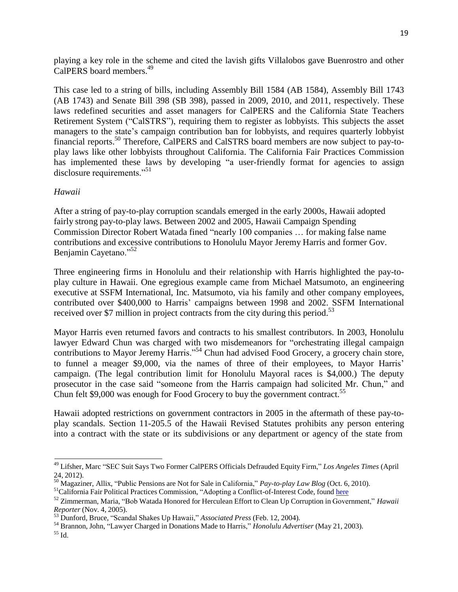playing a key role in the scheme and cited the lavish gifts Villalobos gave Buenrostro and other CalPERS board members.<sup>49</sup>

This case led to a string of bills, including Assembly Bill 1584 (AB 1584), Assembly Bill 1743 (AB 1743) and Senate Bill 398 (SB 398), passed in 2009, 2010, and 2011, respectively. These laws redefined securities and asset managers for CalPERS and the California State Teachers Retirement System ("CalSTRS"), requiring them to register as lobbyists. This subjects the asset managers to the state's campaign contribution ban for lobbyists, and requires quarterly lobbyist financial reports.<sup>50</sup> Therefore, CalPERS and CalSTRS board members are now subject to pay-toplay laws like other lobbyists throughout California. The California Fair Practices Commission has implemented these laws by developing "a user-friendly format for agencies to assign disclosure requirements."<sup>51</sup>

### *Hawaii*

After a string of pay-to-play corruption scandals emerged in the early 2000s, Hawaii adopted fairly strong pay-to-play laws. Between 2002 and 2005, Hawaii Campaign Spending Commission Director Robert Watada fined "nearly 100 companies … for making false name contributions and excessive contributions to Honolulu Mayor Jeremy Harris and former Gov. Benjamin Cayetano."<sup>52</sup>

Three engineering firms in Honolulu and their relationship with Harris highlighted the pay-toplay culture in Hawaii. One egregious example came from Michael Matsumoto, an engineering executive at SSFM International, Inc. Matsumoto, via his family and other company employees, contributed over \$400,000 to Harris' campaigns between 1998 and 2002. SSFM International received over \$7 million in project contracts from the city during this period.<sup>53</sup>

Mayor Harris even returned favors and contracts to his smallest contributors. In 2003, Honolulu lawyer Edward Chun was charged with two misdemeanors for "orchestrating illegal campaign contributions to Mayor Jeremy Harris."<sup>54</sup> Chun had advised Food Grocery, a grocery chain store, to funnel a meager \$9,000, via the names of three of their employees, to Mayor Harris' campaign. (The legal contribution limit for Honolulu Mayoral races is \$4,000.) The deputy prosecutor in the case said "someone from the Harris campaign had solicited Mr. Chun," and Chun felt \$9,000 was enough for Food Grocery to buy the government contract.<sup>55</sup>

Hawaii adopted restrictions on government contractors in 2005 in the aftermath of these pay-toplay scandals. Section 11-205.5 of the Hawaii Revised Statutes prohibits any person entering into a contract with the state or its subdivisions or any department or agency of the state from

<sup>49</sup> Lifsher, Marc "SEC Suit Says Two Former CalPERS Officials Defrauded Equity Firm," *Los Angeles Times* (April 24, 2012).

<sup>50</sup> Magaziner, Allix, "Public Pensions are Not for Sale in California," *Pay-to-play Law Blog* (Oct. 6, 2010).

<sup>&</sup>lt;sup>51</sup>California Fair Political Practices Commission, "Adopting a Conflict-of-Interest Code, found [here](http://www.fppc.ca.gov/index.php?id=228%20)

<sup>52</sup> Zimmerman, Maria, "Bob Watada Honored for Herculean Effort to Clean Up Corruption in Government," *Hawaii Reporter* (Nov. 4, 2005).<br>
<sup>53</sup> Durf: 1.7

<sup>53</sup> Dunford, Bruce, "Scandal Shakes Up Hawaii," *Associated Press* (Feb. 12, 2004).

<sup>54</sup> Brannon, John, "Lawyer Charged in Donations Made to Harris," *Honolulu Advertiser* (May 21, 2003).

 $55$  Id.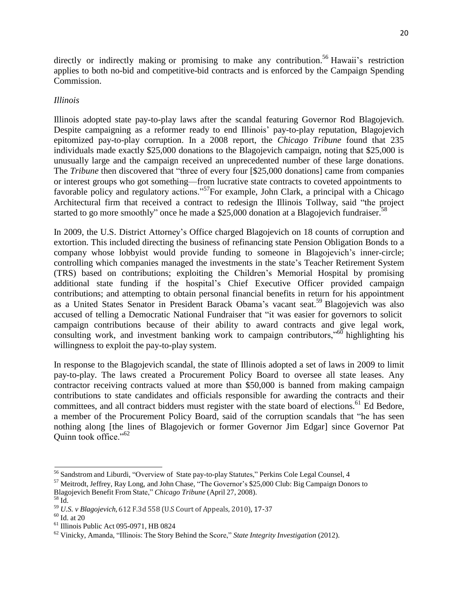directly or indirectly making or promising to make any contribution.<sup>56</sup> Hawaii's restriction applies to both no-bid and competitive-bid contracts and is enforced by the Campaign Spending Commission.

### *Illinois*

Illinois adopted state pay-to-play laws after the scandal featuring Governor Rod Blagojevich. Despite campaigning as a reformer ready to end Illinois' pay-to-play reputation, Blagojevich epitomized pay-to-play corruption. In a 2008 report, the *Chicago Tribune* found that 235 individuals made exactly \$25,000 donations to the Blagojevich campaign, noting that \$25,000 is unusually large and the campaign received an unprecedented number of these large donations. The *Tribune* then discovered that "three of every four [\$25,000 donations] came from companies or interest groups who got something—from lucrative state contracts to coveted appointments to favorable policy and regulatory actions."<sup>57</sup>For example, John Clark, a principal with a Chicago Architectural firm that received a contract to redesign the Illinois Tollway, said "the project started to go more smoothly" once he made a  $$25,000$  donation at a Blagojevich fundraiser.<sup>58</sup>

In 2009, the U.S. District Attorney's Office charged Blagojevich on 18 counts of corruption and extortion. This included directing the business of refinancing state Pension Obligation Bonds to a company whose lobbyist would provide funding to someone in Blagojevich's inner-circle; controlling which companies managed the investments in the state's Teacher Retirement System (TRS) based on contributions; exploiting the Children's Memorial Hospital by promising additional state funding if the hospital's Chief Executive Officer provided campaign contributions; and attempting to obtain personal financial benefits in return for his appointment as a United States Senator in President Barack Obama's vacant seat.<sup>59</sup> Blagojevich was also accused of telling a Democratic National Fundraiser that "it was easier for governors to solicit campaign contributions because of their ability to award contracts and give legal work, consulting work, and investment banking work to campaign contributors,"<sup>60</sup> highlighting his willingness to exploit the pay-to-play system.

In response to the Blagojevich scandal, the state of Illinois adopted a set of laws in 2009 to limit pay-to-play. The laws created a Procurement Policy Board to oversee all state leases. Any contractor receiving contracts valued at more than \$50,000 is banned from making campaign contributions to state candidates and officials responsible for awarding the contracts and their committees, and all contract bidders must register with the state board of elections.<sup>61</sup> Ed Bedore, a member of the Procurement Policy Board, said of the corruption scandals that "he has seen nothing along [the lines of Blagojevich or former Governor Jim Edgar] since Governor Pat Quinn took office."<sup>62</sup>

<sup>56</sup> Sandstrom and Liburdi, "Overview of State pay-to-play Statutes," Perkins Cole Legal Counsel, 4

<sup>57</sup> Meitrodt, Jeffrey, Ray Long, and John Chase, "The Governor's \$25,000 Club: Big Campaign Donors to

Blagojevich Benefit From State," *Chicago Tribune* (April 27, 2008).

 $58$  Id.

<sup>59</sup> *U.S. v Blagojevich*, 612 F.3d 558 (U.S Court of Appeals, 2010), 17-37

 $^{60}$  Id. at 20  $\,$ 

 $<sup>61</sup>$  Illinois Public Act 095-0971, HB 0824</sup>

<sup>62</sup> Vinicky, Amanda, "Illinois: The Story Behind the Score," *State Integrity Investigation* (2012).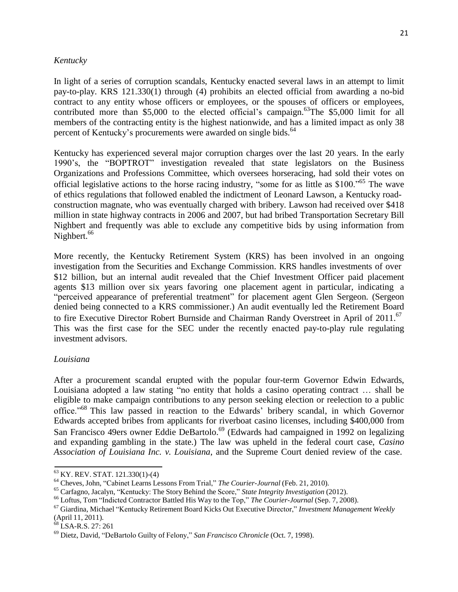### *Kentucky*

In light of a series of corruption scandals, Kentucky enacted several laws in an attempt to limit pay-to-play. KRS 121.330(1) through (4) prohibits an elected official from awarding a no-bid contract to any entity whose officers or employees, or the spouses of officers or employees, contributed more than  $$5,000$  to the elected official's campaign.<sup>63</sup>The  $$5,000$  limit for all members of the contracting entity is the highest nationwide, and has a limited impact as only 38 percent of Kentucky's procurements were awarded on single bids.<sup>64</sup>

Kentucky has experienced several major corruption charges over the last 20 years. In the early 1990's, the "BOPTROT" investigation revealed that state legislators on the Business Organizations and Professions Committee, which oversees horseracing, had sold their votes on official legislative actions to the horse racing industry, "some for as little as \$100."<sup>65</sup> The wave of ethics regulations that followed enabled the indictment of Leonard Lawson, a Kentucky roadconstruction magnate, who was eventually charged with bribery. Lawson had received over \$418 million in state highway contracts in 2006 and 2007, but had bribed Transportation Secretary Bill Nighbert and frequently was able to exclude any competitive bids by using information from Nighbert.<sup>66</sup>

More recently, the Kentucky Retirement System (KRS) has been involved in an ongoing investigation from the Securities and Exchange Commission. KRS handles investments of over \$12 billion, but an internal audit revealed that the Chief Investment Officer paid placement agents \$13 million over six years favoring one placement agent in particular, indicating a "perceived appearance of preferential treatment" for placement agent Glen Sergeon. (Sergeon denied being connected to a KRS commissioner.) An audit eventually led the Retirement Board to fire Executive Director Robert Burnside and Chairman Randy Overstreet in April of 2011.<sup>67</sup> This was the first case for the SEC under the recently enacted pay-to-play rule regulating investment advisors.

#### *Louisiana*

After a procurement scandal erupted with the popular four-term Governor Edwin Edwards, Louisiana adopted a law stating "no entity that holds a casino operating contract … shall be eligible to make campaign contributions to any person seeking election or reelection to a public office."<sup>68</sup> This law passed in reaction to the Edwards' bribery scandal, in which Governor Edwards accepted bribes from applicants for riverboat casino licenses, including \$400,000 from San Francisco 49ers owner Eddie DeBartolo.<sup>69</sup> (Edwards had campaigned in 1992 on legalizing and expanding gambling in the state.) The law was upheld in the federal court case, *Casino Association of Louisiana Inc. v. Louisiana*, and the Supreme Court denied review of the case.

<sup>63</sup> KY. REV. STAT. 121.330(1)-(4)

<sup>64</sup> Cheves, John, "Cabinet Learns Lessons From Trial," *The Courier-Journal* (Feb. 21, 2010).

<sup>65</sup> Carfagno, Jacalyn, "Kentucky: The Story Behind the Score," *State Integrity Investigation* (2012).

<sup>66</sup> Loftus, Tom "Indicted Contractor Battled His Way to the Top," *The Courier-Journal* (Sep. 7, 2008).

<sup>67</sup> Giardina, Michael "Kentucky Retirement Board Kicks Out Executive Director," *Investment Management Weekly* (April 11, 2011).

<sup>&</sup>lt;sup>68</sup> LSA-R.S. 27: 261

<sup>69</sup> Dietz, David, "DeBartolo Guilty of Felony," *San Francisco Chronicle* (Oct. 7, 1998).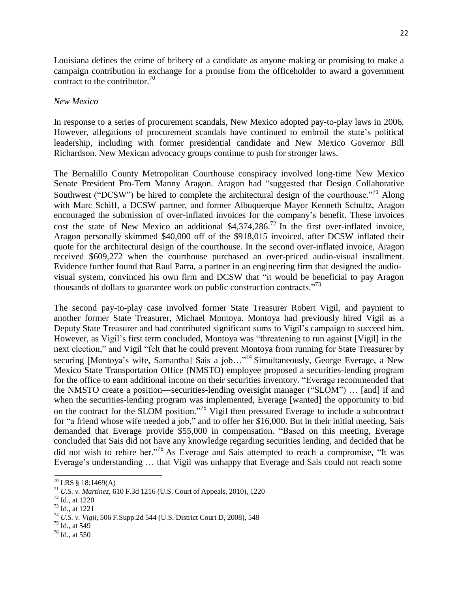Louisiana defines the crime of bribery of a candidate as anyone making or promising to make a campaign contribution in exchange for a promise from the officeholder to award a government contract to the contributor. $^{70}$ 

#### *New Mexico*

In response to a series of procurement scandals, New Mexico adopted pay-to-play laws in 2006. However, allegations of procurement scandals have continued to embroil the state's political leadership, including with former presidential candidate and New Mexico Governor Bill Richardson. New Mexican advocacy groups continue to push for stronger laws.

The Bernalillo County Metropolitan Courthouse conspiracy involved long-time New Mexico Senate President Pro-Tem Manny Aragon. Aragon had "suggested that Design Collaborative Southwest ("DCSW") be hired to complete the architectural design of the courthouse."<sup>71</sup> Along with Marc Schiff, a DCSW partner, and former Albuquerque Mayor Kenneth Schultz, Aragon encouraged the submission of over-inflated invoices for the company's benefit. These invoices cost the state of New Mexico an additional \$4,374,286.<sup>72</sup> In the first over-inflated invoice, Aragon personally skimmed \$40,000 off of the \$918,015 invoiced, after DCSW inflated their quote for the architectural design of the courthouse. In the second over-inflated invoice, Aragon received \$609,272 when the courthouse purchased an over-priced audio-visual installment. Evidence further found that Raul Parra, a partner in an engineering firm that designed the audiovisual system, convinced his own firm and DCSW that "it would be beneficial to pay Aragon thousands of dollars to guarantee work on public construction contracts.<sup> $73$ </sup>

The second pay-to-play case involved former State Treasurer Robert Vigil, and payment to another former State Treasurer, Michael Montoya. Montoya had previously hired Vigil as a Deputy State Treasurer and had contributed significant sums to Vigil's campaign to succeed him. However, as Vigil's first term concluded, Montoya was "threatening to run against [Vigil] in the next election," and Vigil "felt that he could prevent Montoya from running for State Treasurer by securing [Montoya's wife, Samantha] Sais a job..."<sup>74</sup> Simultaneously, George Everage, a New Mexico State Transportation Office (NMSTO) employee proposed a securities-lending program for the office to earn additional income on their securities inventory. "Everage recommended that the NMSTO create a position—securities-lending oversight manager ("SLOM") … [and] if and when the securities-lending program was implemented, Everage [wanted] the opportunity to bid on the contract for the SLOM position."<sup>75</sup> Vigil then pressured Everage to include a subcontract for "a friend whose wife needed a job," and to offer her \$16,000. But in their initial meeting, Sais demanded that Everage provide \$55,000 in compensation. "Based on this meeting, Everage concluded that Sais did not have any knowledge regarding securities lending, and decided that he did not wish to rehire her."<sup>76</sup> As Everage and Sais attempted to reach a compromise, "It was Everage's understanding … that Vigil was unhappy that Everage and Sais could not reach some

<sup>70</sup> LRS § 18:1469(A)

<sup>71</sup> *U.S. v. Martinez,* 610 F.3d 1216 (U.S. Court of Appeals, 2010), 1220

<sup>72</sup> Id., at 1220

<sup>73</sup> Id., at 1221

<sup>74</sup> *U.S. v. Vigil*, 506 F.Supp.2d 544 (U.S. District Court D, 2008), 548

<sup>75</sup> Id., at 549

<sup>76</sup> Id., at 550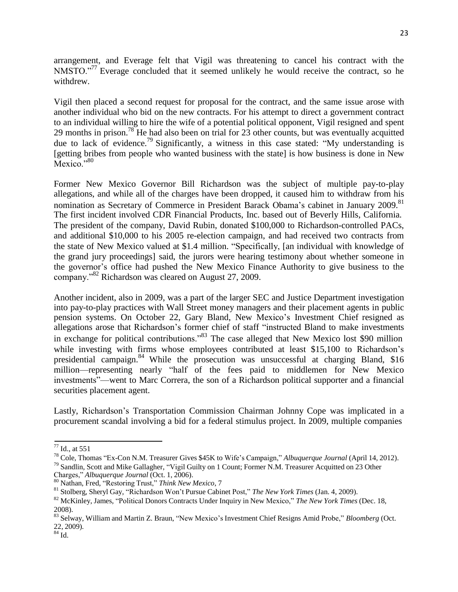arrangement, and Everage felt that Vigil was threatening to cancel his contract with the NMSTO."<sup>77</sup> Everage concluded that it seemed unlikely he would receive the contract, so he withdrew.

Vigil then placed a second request for proposal for the contract, and the same issue arose with another individual who bid on the new contracts. For his attempt to direct a government contract to an individual willing to hire the wife of a potential political opponent, Vigil resigned and spent 29 months in prison.<sup>78</sup> He had also been on trial for 23 other counts, but was eventually acquitted due to lack of evidence.<sup>79</sup> Significantly, a witness in this case stated: "My understanding is [getting bribes from people who wanted business with the state] is how business is done in New Mexico."<sup>80</sup>

Former New Mexico Governor Bill Richardson was the subject of multiple pay-to-play allegations, and while all of the charges have been dropped, it caused him to withdraw from his nomination as Secretary of Commerce in President Barack Obama's cabinet in January 2009.<sup>81</sup> The first incident involved CDR Financial Products, Inc. based out of Beverly Hills, California. The president of the company, David Rubin, donated \$100,000 to Richardson-controlled PACs, and additional \$10,000 to his 2005 re-election campaign, and had received two contracts from the state of New Mexico valued at \$1.4 million. "Specifically, [an individual with knowledge of the grand jury proceedings] said, the jurors were hearing testimony about whether someone in the governor's office had pushed the New Mexico Finance Authority to give business to the company."<sup>82</sup> Richardson was cleared on August 27, 2009.

Another incident, also in 2009, was a part of the larger SEC and Justice Department investigation into pay-to-play practices with Wall Street money managers and their placement agents in public pension systems. On October 22, Gary Bland, New Mexico's Investment Chief resigned as allegations arose that Richardson's former chief of staff "instructed Bland to make investments in exchange for political contributions.<sup>83</sup> The case alleged that New Mexico lost \$90 million while investing with firms whose employees contributed at least \$15,100 to Richardson's presidential campaign.<sup>84</sup> While the prosecution was unsuccessful at charging Bland, \$16 million—representing nearly "half of the fees paid to middlemen for New Mexico investments"—went to Marc Correra, the son of a Richardson political supporter and a financial securities placement agent.

Lastly, Richardson's Transportation Commission Chairman Johnny Cope was implicated in a procurement scandal involving a bid for a federal stimulus project. In 2009, multiple companies

<sup>77</sup> Id., at 551

<sup>78</sup> Cole, Thomas "Ex-Con N.M. Treasurer Gives \$45K to Wife's Campaign," *Albuquerque Journal* (April 14, 2012).

<sup>&</sup>lt;sup>79</sup> Sandlin, Scott and Mike Gallagher, "Vigil Guilty on 1 Count; Former N.M. Treasurer Acquitted on 23 Other Charges," *Albuquerque Journal* (Oct. 1, 2006).

<sup>80</sup> Nathan, Fred, "Restoring Trust," *Think New Mexico*, 7

<sup>81</sup> Stolberg, Sheryl Gay, "Richardson Won't Pursue Cabinet Post," *The New York Times* (Jan. 4, 2009).

<sup>82</sup> McKinley, James, "Political Donors Contracts Under Inquiry in New Mexico," *The New York Times* (Dec. 18, 2008).

<sup>83</sup> Selway, William and Martin Z. Braun, "New Mexico's Investment Chief Resigns Amid Probe," *Bloomberg* (Oct. 22, 2009).

 $84$  Id.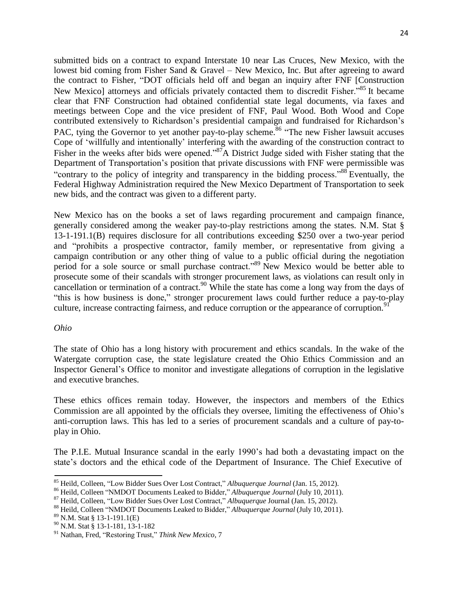submitted bids on a contract to expand Interstate 10 near Las Cruces, New Mexico, with the lowest bid coming from Fisher Sand & Gravel – New Mexico, Inc. But after agreeing to award the contract to Fisher, "DOT officials held off and began an inquiry after FNF [Construction New Mexico] attorneys and officials privately contacted them to discredit Fisher."<sup>85</sup> It became clear that FNF Construction had obtained confidential state legal documents, via faxes and meetings between Cope and the vice president of FNF, Paul Wood. Both Wood and Cope contributed extensively to Richardson's presidential campaign and fundraised for Richardson's PAC, tying the Governor to yet another pay-to-play scheme.<sup>86</sup> "The new Fisher lawsuit accuses" Cope of 'willfully and intentionally' interfering with the awarding of the construction contract to Fisher in the weeks after bids were opened."<sup>87</sup>A District Judge sided with Fisher stating that the Department of Transportation's position that private discussions with FNF were permissible was "contrary to the policy of integrity and transparency in the bidding process."<sup>88</sup> Eventually, the Federal Highway Administration required the New Mexico Department of Transportation to seek new bids, and the contract was given to a different party.

New Mexico has on the books a set of laws regarding procurement and campaign finance, generally considered among the weaker pay-to-play restrictions among the states. N.M. Stat § 13-1-191.1(B) requires disclosure for all contributions exceeding \$250 over a two-year period and "prohibits a prospective contractor, family member, or representative from giving a campaign contribution or any other thing of value to a public official during the negotiation period for a sole source or small purchase contract."<sup>89</sup> New Mexico would be better able to prosecute some of their scandals with stronger procurement laws, as violations can result only in cancellation or termination of a contract.<sup>90</sup> While the state has come a long way from the days of "this is how business is done," stronger procurement laws could further reduce a pay-to-play culture, increase contracting fairness, and reduce corruption or the appearance of corruption.<sup>91</sup>

#### *Ohio*

The state of Ohio has a long history with procurement and ethics scandals. In the wake of the Watergate corruption case, the state legislature created the Ohio Ethics Commission and an Inspector General's Office to monitor and investigate allegations of corruption in the legislative and executive branches.

These ethics offices remain today. However, the inspectors and members of the Ethics Commission are all appointed by the officials they oversee, limiting the effectiveness of Ohio's anti-corruption laws. This has led to a series of procurement scandals and a culture of pay-toplay in Ohio.

The P.I.E. Mutual Insurance scandal in the early 1990's had both a devastating impact on the state's doctors and the ethical code of the Department of Insurance. The Chief Executive of

<sup>85</sup> Heild, Colleen, "Low Bidder Sues Over Lost Contract," *Albuquerque Journal* (Jan. 15, 2012).

<sup>86</sup> Heild, Colleen "NMDOT Documents Leaked to Bidder," *Albuquerque Journal* (July 10, 2011).

<sup>87</sup> Heild, Colleen, "Low Bidder Sues Over Lost Contract," *Albuquerque* Journal (Jan. 15, 2012).

<sup>88</sup> Heild, Colleen "NMDOT Documents Leaked to Bidder," *Albuquerque Journal* (July 10, 2011).

<sup>89</sup> N.M. Stat § 13-1-191.1(E)

<sup>90</sup> N.M. Stat § 13-1-181, 13-1-182

<sup>91</sup> Nathan, Fred, "Restoring Trust," *Think New Mexico*, 7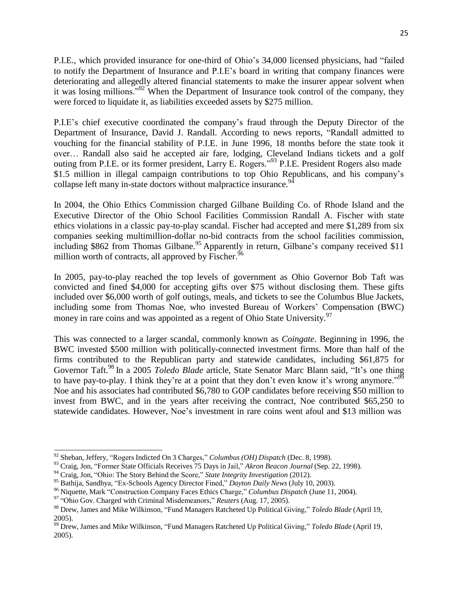P.I.E., which provided insurance for one-third of Ohio's 34,000 licensed physicians, had "failed to notify the Department of Insurance and P.I.E's board in writing that company finances were deteriorating and allegedly altered financial statements to make the insurer appear solvent when it was losing millions."<sup>92</sup> When the Department of Insurance took control of the company, they were forced to liquidate it, as liabilities exceeded assets by \$275 million.

P.I.E's chief executive coordinated the company's fraud through the Deputy Director of the Department of Insurance, David J. Randall. According to news reports, "Randall admitted to vouching for the financial stability of P.I.E. in June 1996, 18 months before the state took it over… Randall also said he accepted air fare, lodging, Cleveland Indians tickets and a golf outing from P.I.E. or its former president, Larry E. Rogers."<sup>93</sup> P.I.E. President Rogers also made \$1.5 million in illegal campaign contributions to top Ohio Republicans, and his company's collapse left many in-state doctors without malpractice insurance.<sup>94</sup>

In 2004, the Ohio Ethics Commission charged Gilbane Building Co. of Rhode Island and the Executive Director of the Ohio School Facilities Commission Randall A. Fischer with state ethics violations in a classic pay-to-play scandal. Fischer had accepted and mere \$1,289 from six companies seeking multimillion-dollar no-bid contracts from the school facilities commission, including \$862 from Thomas Gilbane.<sup>95</sup> Apparently in return, Gilbane's company received \$11 million worth of contracts, all approved by Fischer.<sup>96</sup>

In 2005, pay-to-play reached the top levels of government as Ohio Governor Bob Taft was convicted and fined \$4,000 for accepting gifts over \$75 without disclosing them. These gifts included over \$6,000 worth of golf outings, meals, and tickets to see the Columbus Blue Jackets, including some from Thomas Noe, who invested Bureau of Workers' Compensation (BWC) money in rare coins and was appointed as a regent of Ohio State University.<sup>97</sup>

This was connected to a larger scandal, commonly known as *Coingate*. Beginning in 1996, the BWC invested \$500 million with politically-connected investment firms. More than half of the firms contributed to the Republican party and statewide candidates, including \$61,875 for Governor Taft.<sup>98</sup> In a 2005 *Toledo Blade* article, State Senator Marc Blann said, "It's one thing to have pay-to-play. I think they're at a point that they don't even know it's wrong anymore."<sup>99</sup> Noe and his associates had contributed \$6,780 to GOP candidates before receiving \$50 million to invest from BWC, and in the years after receiving the contract, Noe contributed \$65,250 to statewide candidates. However, Noe's investment in rare coins went afoul and \$13 million was

<sup>92</sup> Sheban, Jeffery, "Rogers Indicted On 3 Charges," *Columbus (OH) Dispatch* (Dec. 8, 1998).

<sup>93</sup> Craig, Jon, "Former State Officials Receives 75 Days in Jail," *Akron Beacon Journal* (Sep. 22, 1998).

<sup>94</sup> Craig, Jon, "Ohio: The Story Behind the Score," *State Integrity Investigation* (2012).

<sup>95</sup> Bathija, Sandhya, "Ex-Schools Agency Director Fined," *Dayton Daily News* (July 10, 2003).

<sup>96</sup> Niquette, Mark "Construction Company Faces Ethics Charge," *Columbus Dispatch* (June 11, 2004).

<sup>97</sup> "Ohio Gov. Charged with Criminal Misdemeanors," *Reuters* (Aug. 17, 2005).

<sup>98</sup> Drew, James and Mike Wilkinson, "Fund Managers Ratcheted Up Political Giving," *Toledo Blade* (April 19, 2005).

<sup>99</sup> Drew, James and Mike Wilkinson, "Fund Managers Ratcheted Up Political Giving," *Toledo Blade* (April 19, 2005).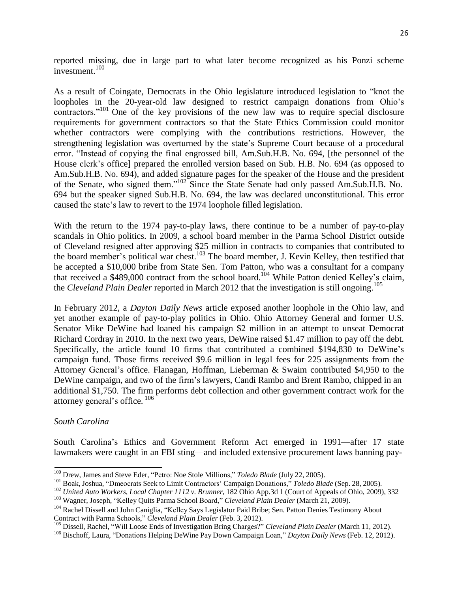reported missing, due in large part to what later become recognized as his Ponzi scheme investment.<sup>100</sup>

As a result of Coingate, Democrats in the Ohio legislature introduced legislation to "knot the loopholes in the 20-year-old law designed to restrict campaign donations from Ohio's contractors."<sup>101</sup> One of the key provisions of the new law was to require special disclosure requirements for government contractors so that the State Ethics Commission could monitor whether contractors were complying with the contributions restrictions. However, the strengthening legislation was overturned by the state's Supreme Court because of a procedural error. "Instead of copying the final engrossed bill, Am.Sub.H.B. No. 694, [the personnel of the House clerk's office] prepared the enrolled version based on Sub. H.B. No. 694 (as opposed to Am.Sub.H.B. No. 694), and added signature pages for the speaker of the House and the president of the Senate, who signed them."<sup>102</sup>Since the State Senate had only passed Am.Sub.H.B. No. 694 but the speaker signed Sub.H.B. No. 694, the law was declared unconstitutional. This error caused the state's law to revert to the 1974 loophole filled legislation.

With the return to the 1974 pay-to-play laws, there continue to be a number of pay-to-play scandals in Ohio politics. In 2009, a school board member in the Parma School District outside of Cleveland resigned after approving \$25 million in contracts to companies that contributed to the board member's political war chest.<sup>103</sup> The board member, J. Kevin Kelley, then testified that he accepted a \$10,000 bribe from State Sen. Tom Patton, who was a consultant for a company that received a \$489,000 contract from the school board.<sup>104</sup> While Patton denied Kelley's claim, the *Cleveland Plain Dealer* reported in March 2012 that the investigation is still ongoing.<sup>105</sup>

In February 2012, a *Dayton Daily News* article exposed another loophole in the Ohio law, and yet another example of pay-to-play politics in Ohio. Ohio Attorney General and former U.S. Senator Mike DeWine had loaned his campaign \$2 million in an attempt to unseat Democrat Richard Cordray in 2010. In the next two years, DeWine raised \$1.47 million to pay off the debt. Specifically, the article found 10 firms that contributed a combined \$194,830 to DeWine's campaign fund. Those firms received \$9.6 million in legal fees for 225 assignments from the Attorney General's office. Flanagan, Hoffman, Lieberman & Swaim contributed \$4,950 to the DeWine campaign, and two of the firm's lawyers, Candi Rambo and Brent Rambo, chipped in an additional \$1,750. The firm performs debt collection and other government contract work for the attorney general's office. <sup>106</sup>

#### *South Carolina*

South Carolina's Ethics and Government Reform Act emerged in 1991—after 17 state lawmakers were caught in an FBI sting—and included extensive procurement laws banning pay-

<sup>100</sup> Drew, James and Steve Eder, "Petro: Noe Stole Millions," *Toledo Blade* (July 22, 2005).

<sup>101</sup> Boak, Joshua, "Dmeocrats Seek to Limit Contractors' Campaign Donations," *Toledo Blade* (Sep. 28, 2005).

<sup>102</sup> *United Auto Workers, Local Chapter 1112 v. Brunner*, 182 Ohio App.3d 1 (Court of Appeals of Ohio, 2009), 332

<sup>103</sup> Wagner, Joseph, "Kelley Quits Parma School Board," *Cleveland Plain Dealer* (March 21, 2009).

<sup>&</sup>lt;sup>104</sup> Rachel Dissell and John Caniglia, "Kelley Says Legislator Paid Bribe; Sen. Patton Denies Testimony About Contract with Parma Schools," *Cleveland Plain Dealer* (Feb. 3, 2012).

<sup>105</sup> Dissell, Rachel, "Will Loose Ends of Investigation Bring Charges?" *Cleveland Plain Dealer* (March 11, 2012).

<sup>106</sup> Bischoff, Laura, "Donations Helping DeWine Pay Down Campaign Loan," *Dayton Daily News* (Feb. 12, 2012).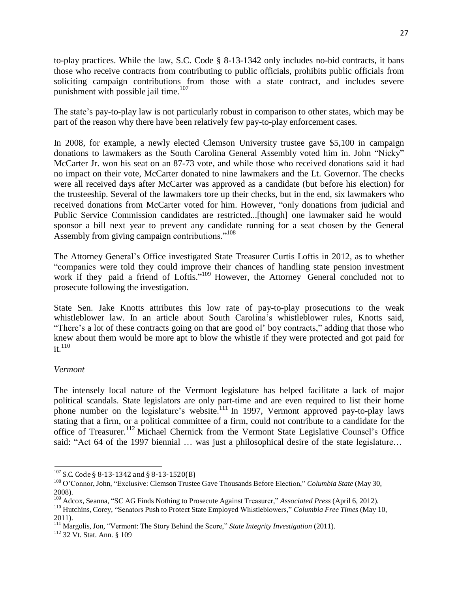to-play practices. While the law, S.C. Code § 8-13-1342 only includes no-bid contracts, it bans those who receive contracts from contributing to public officials, prohibits public officials from soliciting campaign contributions from those with a state contract, and includes severe punishment with possible jail time.<sup>107</sup>

The state's pay-to-play law is not particularly robust in comparison to other states, which may be part of the reason why there have been relatively few pay-to-play enforcement cases.

In 2008, for example, a newly elected Clemson University trustee gave \$5,100 in campaign donations to lawmakers as the South Carolina General Assembly voted him in. John "Nicky" McCarter Jr. won his seat on an 87-73 vote, and while those who received donations said it had no impact on their vote, McCarter donated to nine lawmakers and the Lt. Governor. The checks were all received days after McCarter was approved as a candidate (but before his election) for the trusteeship. Several of the lawmakers tore up their checks, but in the end, six lawmakers who received donations from McCarter voted for him. However, "only donations from judicial and Public Service Commission candidates are restricted...[though] one lawmaker said he would sponsor a bill next year to prevent any candidate running for a seat chosen by the General Assembly from giving campaign contributions."<sup>108</sup>

The Attorney General's Office investigated State Treasurer Curtis Loftis in 2012, as to whether "companies were told they could improve their chances of handling state pension investment work if they paid a friend of Loftis."<sup>109</sup> However, the Attorney General concluded not to prosecute following the investigation.

State Sen. Jake Knotts attributes this low rate of pay-to-play prosecutions to the weak whistleblower law. In an article about South Carolina's whistleblower rules, Knotts said, "There's a lot of these contracts going on that are good ol' boy contracts," adding that those who knew about them would be more apt to blow the whistle if they were protected and got paid for  $it.<sup>110</sup>$ 

### *Vermont*

The intensely local nature of the Vermont legislature has helped facilitate a lack of major political scandals. State legislators are only part-time and are even required to list their home phone number on the legislature's website.<sup>111</sup> In 1997, Vermont approved pay-to-play laws stating that a firm, or a political committee of a firm, could not contribute to a candidate for the office of Treasurer.<sup>112</sup> Michael Chernick from the Vermont State Legislative Counsel's Office said: "Act 64 of the 1997 biennial ... was just a philosophical desire of the state legislature...

 $107$  S.C. Code § 8-13-1342 and § 8-13-1520(B)

<sup>108</sup> O'Connor, John, "Exclusive: Clemson Trustee Gave Thousands Before Election," *Columbia State* (May 30, 2008).

<sup>109</sup> Adcox, Seanna, "SC AG Finds Nothing to Prosecute Against Treasurer," *Associated Press* (April 6, 2012).

<sup>110</sup> Hutchins, Corey, "Senators Push to Protect State Employed Whistleblowers," *Columbia Free Times* (May 10, 2011).

<sup>111</sup> Margolis, Jon, "Vermont: The Story Behind the Score," *State Integrity Investigation* (2011).

<sup>112</sup> 32 Vt. Stat. Ann. § 109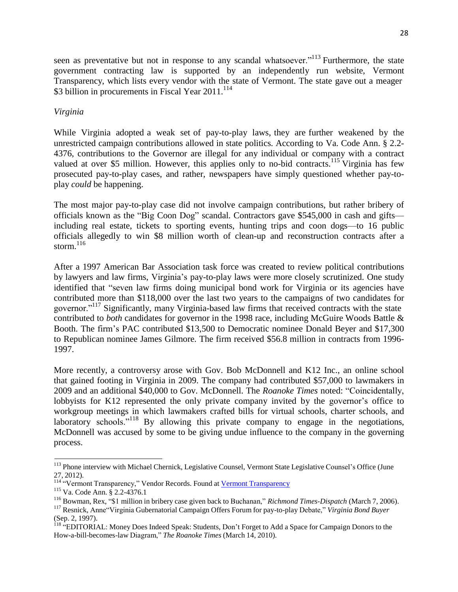seen as preventative but not in response to any scandal whatsoever.<sup>"113</sup> Furthermore, the state government contracting law is supported by an independently run website, Vermont Transparency, which lists every vendor with the state of Vermont. The state gave out a meager \$3 billion in procurements in Fiscal Year  $2011$ <sup>114</sup>

#### *Virginia*

While Virginia adopted a weak set of pay-to-play laws, they are further weakened by the unrestricted campaign contributions allowed in state politics. According to Va. Code Ann. § 2.2- 4376, contributions to the Governor are illegal for any individual or company with a contract valued at over \$5 million. However, this applies only to no-bid contracts.<sup>115</sup> Virginia has few prosecuted pay-to-play cases, and rather, newspapers have simply questioned whether pay-toplay *could* be happening.

The most major pay-to-play case did not involve campaign contributions, but rather bribery of officials known as the "Big Coon Dog" scandal. Contractors gave \$545,000 in cash and gifts including real estate, tickets to sporting events, hunting trips and coon dogs—to 16 public officials allegedly to win \$8 million worth of clean-up and reconstruction contracts after a storm. $116$ 

After a 1997 American Bar Association task force was created to review political contributions by lawyers and law firms, Virginia's pay-to-play laws were more closely scrutinized. One study identified that "seven law firms doing municipal bond work for Virginia or its agencies have contributed more than \$118,000 over the last two years to the campaigns of two candidates for governor."<sup>117</sup> Significantly, many Virginia-based law firms that received contracts with the state contributed to *both* candidates for governor in the 1998 race, including McGuire Woods Battle & Booth. The firm's PAC contributed \$13,500 to Democratic nominee Donald Beyer and \$17,300 to Republican nominee James Gilmore. The firm received \$56.8 million in contracts from 1996- 1997.

More recently, a controversy arose with Gov. Bob McDonnell and K12 Inc., an online school that gained footing in Virginia in 2009. The company had contributed \$57,000 to lawmakers in 2009 and an additional \$40,000 to Gov. McDonnell. The *Roanoke Times* noted: "Coincidentally, lobbyists for K12 represented the only private company invited by the governor's office to workgroup meetings in which lawmakers crafted bills for virtual schools, charter schools, and laboratory schools."<sup>118</sup> By allowing this private company to engage in the negotiations, McDonnell was accused by some to be giving undue influence to the company in the governing process.

<sup>&</sup>lt;sup>113</sup> Phone interview with Michael Chernick, Legislative Counsel, Vermont State Legislative Counsel's Office (June 27, 2012).

<sup>&</sup>lt;sup>114</sup> "Vermont [Transparency](file://pc.local/dfs/Common%20Data/CW/CW-CFR/Campaign%20Finance%20Reform/Pay-to-Play/Pay-to-play%20case%20record/www.vttransparency.org)," Vendor Records. Found at <u>Vermont Transparency</u>

<sup>115</sup> Va. Code Ann. § 2.2-4376.1

<sup>116</sup> Bowman, Rex, "\$1 million in bribery case given back to Buchanan," *Richmond Times-Dispatch* (March 7, 2006).

<sup>117</sup> Resnick, Anne"Virginia Gubernatorial Campaign Offers Forum for pay-to-play Debate," *Virginia Bond Buyer* (Sep. 2, 1997).

<sup>&</sup>lt;sup>118</sup> "EDITORIAL: Money Does Indeed Speak: Students, Don't Forget to Add a Space for Campaign Donors to the How-a-bill-becomes-law Diagram," *The Roanoke Times* (March 14, 2010).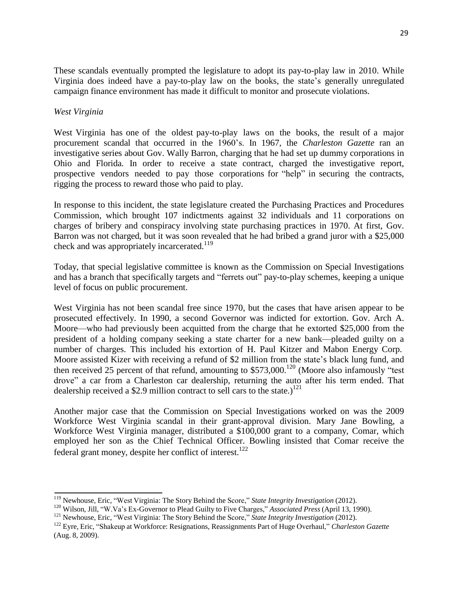These scandals eventually prompted the legislature to adopt its pay-to-play law in 2010. While Virginia does indeed have a pay-to-play law on the books, the state's generally unregulated campaign finance environment has made it difficult to monitor and prosecute violations.

### *West Virginia*

West Virginia has one of the oldest pay-to-play laws on the books, the result of a major procurement scandal that occurred in the 1960's. In 1967, the *Charleston Gazette* ran an investigative series about Gov. Wally Barron, charging that he had set up dummy corporations in Ohio and Florida. In order to receive a state contract, charged the investigative report, prospective vendors needed to pay those corporations for "help" in securing the contracts, rigging the process to reward those who paid to play.

In response to this incident, the state legislature created the Purchasing Practices and Procedures Commission, which brought 107 indictments against 32 individuals and 11 corporations on charges of bribery and conspiracy involving state purchasing practices in 1970. At first, Gov. Barron was not charged, but it was soon revealed that he had bribed a grand juror with a \$25,000 check and was appropriately incarcerated.<sup>119</sup>

Today, that special legislative committee is known as the Commission on Special Investigations and has a branch that specifically targets and "ferrets out" pay-to-play schemes, keeping a unique level of focus on public procurement.

West Virginia has not been scandal free since 1970, but the cases that have arisen appear to be prosecuted effectively. In 1990, a second Governor was indicted for extortion. Gov. Arch A. Moore—who had previously been acquitted from the charge that he extorted \$25,000 from the president of a holding company seeking a state charter for a new bank—pleaded guilty on a number of charges. This included his extortion of H. Paul Kitzer and Mabon Energy Corp. Moore assisted Kizer with receiving a refund of \$2 million from the state's black lung fund, and then received 25 percent of that refund, amounting to \$573,000.<sup>120</sup> (Moore also infamously "test drove" a car from a Charleston car dealership, returning the auto after his term ended. That dealership received a \$2.9 million contract to sell cars to the state.)<sup>121</sup>

Another major case that the Commission on Special Investigations worked on was the 2009 Workforce West Virginia scandal in their grant-approval division. Mary Jane Bowling, a Workforce West Virginia manager, distributed a \$100,000 grant to a company, Comar, which employed her son as the Chief Technical Officer. Bowling insisted that Comar receive the federal grant money, despite her conflict of interest.<sup>122</sup>

<sup>119</sup> Newhouse, Eric, "West Virginia: The Story Behind the Score," *State Integrity Investigation* (2012).

<sup>120</sup> Wilson, Jill, "W.Va's Ex-Governor to Plead Guilty to Five Charges," *Associated Press* (April 13, 1990).

<sup>121</sup> Newhouse, Eric, "West Virginia: The Story Behind the Score," *State Integrity Investigation* (2012).

<sup>122</sup> Eyre, Eric, "Shakeup at Workforce: Resignations, Reassignments Part of Huge Overhaul," *Charleston Gazette* (Aug. 8, 2009).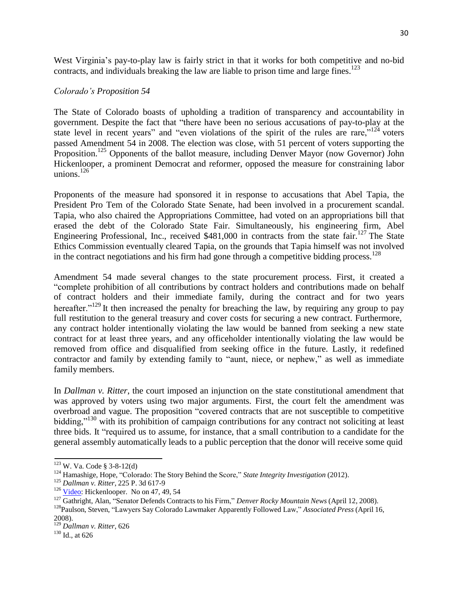West Virginia's pay-to-play law is fairly strict in that it works for both competitive and no-bid contracts, and individuals breaking the law are liable to prison time and large fines.<sup>123</sup>

#### *Colorado's Proposition 54*

The State of Colorado boasts of upholding a tradition of transparency and accountability in government. Despite the fact that "there have been no serious accusations of pay-to-play at the state level in recent years" and "even violations of the spirit of the rules are rare," $124$  voters passed Amendment 54 in 2008. The election was close, with 51 percent of voters supporting the Proposition.<sup>125</sup> Opponents of the ballot measure, including Denver Mayor (now Governor) John Hickenlooper, a prominent Democrat and reformer, opposed the measure for constraining labor unions. $126$ 

Proponents of the measure had sponsored it in response to accusations that Abel Tapia, the President Pro Tem of the Colorado State Senate, had been involved in a procurement scandal. Tapia, who also chaired the Appropriations Committee, had voted on an appropriations bill that erased the debt of the Colorado State Fair. Simultaneously, his engineering firm, Abel Engineering Professional, Inc., received \$481,000 in contracts from the state fair.<sup>127</sup> The State Ethics Commission eventually cleared Tapia, on the grounds that Tapia himself was not involved in the contract negotiations and his firm had gone through a competitive bidding process.<sup>128</sup>

Amendment 54 made several changes to the state procurement process. First, it created a "complete prohibition of all contributions by contract holders and contributions made on behalf of contract holders and their immediate family, during the contract and for two years hereafter."<sup>129</sup>It then increased the penalty for breaching the law, by requiring any group to pay full restitution to the general treasury and cover costs for securing a new contract. Furthermore, any contract holder intentionally violating the law would be banned from seeking a new state contract for at least three years, and any officeholder intentionally violating the law would be removed from office and disqualified from seeking office in the future. Lastly, it redefined contractor and family by extending family to "aunt, niece, or nephew," as well as immediate family members.

In *Dallman v. Ritter*, the court imposed an injunction on the state constitutional amendment that was approved by voters using two major arguments. First, the court felt the amendment was overbroad and vague. The proposition "covered contracts that are not susceptible to competitive bidding,"<sup>130</sup> with its prohibition of campaign contributions for any contract not soliciting at least three bids. It "required us to assume, for instance, that a small contribution to a candidate for the general assembly automatically leads to a public perception that the donor will receive some quid

<sup>123</sup> W. Va. Code § 3-8-12(d)

<sup>124</sup> Hamashige, Hope, "Colorado: The Story Behind the Score," *State Integrity Investigation* (2012).

<sup>125</sup> *Dallman v. Ritter*, 225 P. 3d 617-9

 $126$  [Video:](http://www.youtube.com/watch?v=5SQ3c2Az_YA) Hickenlooper. No on 47, 49, 54

<sup>127</sup> Gathright, Alan, "Senator Defends Contracts to his Firm," *Denver Rocky Mountain News* (April 12, 2008).

<sup>128</sup>Paulson, Steven, "Lawyers Say Colorado Lawmaker Apparently Followed Law," *Associated Press* (April 16,

<sup>2008).</sup>

<sup>129</sup> *Dallman v. Ritter*, 626  $130$  Id., at 626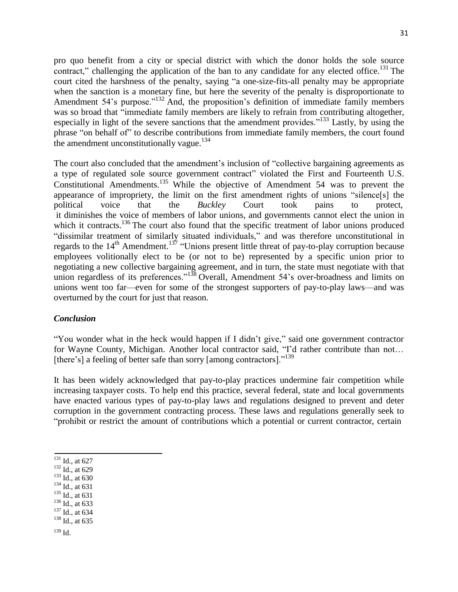pro quo benefit from a city or special district with which the donor holds the sole source contract," challenging the application of the ban to any candidate for any elected office.<sup>131</sup> The court cited the harshness of the penalty, saying "a one-size-fits-all penalty may be appropriate when the sanction is a monetary fine, but here the severity of the penalty is disproportionate to Amendment 54's purpose."<sup>132</sup> And, the proposition's definition of immediate family members was so broad that "immediate family members are likely to refrain from contributing altogether, especially in light of the severe sanctions that the amendment provides."<sup>133</sup> Lastly, by using the phrase "on behalf of" to describe contributions from immediate family members, the court found the amendment unconstitutionally vague.<sup>134</sup>

The court also concluded that the amendment's inclusion of "collective bargaining agreements as a type of regulated sole source government contract" violated the First and Fourteenth U.S. Constitutional Amendments.<sup>135</sup> While the objective of Amendment 54 was to prevent the appearance of impropriety, the limit on the first amendment rights of unions "silence[s] the political voice that the *Buckley* Court took pains to protect, it diminishes the voice of members of labor unions, and governments cannot elect the union in which it contracts.<sup>136</sup> The court also found that the specific treatment of labor unions produced "dissimilar treatment of similarly situated individuals," and was therefore unconstitutional in regards to the  $14<sup>th</sup>$  Amendment.<sup>137</sup> "Unions present little threat of pay-to-play corruption because employees volitionally elect to be (or not to be) represented by a specific union prior to negotiating a new collective bargaining agreement, and in turn, the state must negotiate with that union regardless of its preferences."<sup>138</sup> Overall, Amendment 54's over-broadness and limits on unions went too far—even for some of the strongest supporters of pay-to-play laws—and was overturned by the court for just that reason.

#### *Conclusion*

"You wonder what in the heck would happen if I didn't give," said one government contractor for Wayne County, Michigan. Another local contractor said, "I'd rather contribute than not… [there's] a feeling of better safe than sorry [among contractors]."<sup>139</sup>

It has been widely acknowledged that pay-to-play practices undermine fair competition while increasing taxpayer costs. To help end this practice, several federal, state and local governments have enacted various types of pay-to-play laws and regulations designed to prevent and deter corruption in the government contracting process. These laws and regulations generally seek to "prohibit or restrict the amount of contributions which a potential or current contractor, certain

- $132$  Id., at 629
- <sup>133</sup> Id., at 630
- <sup>134</sup> Id., at 631
- <sup>135</sup> Id., at 631
- <sup>136</sup> Id., at 633
- <sup>137</sup> Id., at 634
- <sup>138</sup> Id., at 635
- $139$  Id.

 $\overline{131}$  Id., at 627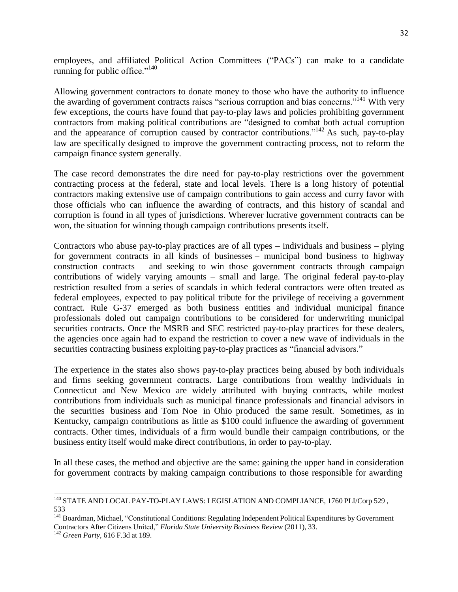employees, and affiliated Political Action Committees ("PACs") can make to a candidate running for public office." $140$ 

Allowing government contractors to donate money to those who have the authority to influence the awarding of government contracts raises "serious corruption and bias concerns."<sup>141</sup> With very few exceptions, the courts have found that pay-to-play laws and policies prohibiting government contractors from making political contributions are "designed to combat both actual corruption and the appearance of corruption caused by contractor contributions."<sup>142</sup> As such, pay-to-play law are specifically designed to improve the government contracting process, not to reform the campaign finance system generally.

The case record demonstrates the dire need for pay-to-play restrictions over the government contracting process at the federal, state and local levels. There is a long history of potential contractors making extensive use of campaign contributions to gain access and curry favor with those officials who can influence the awarding of contracts, and this history of scandal and corruption is found in all types of jurisdictions. Wherever lucrative government contracts can be won, the situation for winning though campaign contributions presents itself.

Contractors who abuse pay-to-play practices are of all types – individuals and business – plying for government contracts in all kinds of businesses – municipal bond business to highway construction contracts – and seeking to win those government contracts through campaign contributions of widely varying amounts – small and large. The original federal pay-to-play restriction resulted from a series of scandals in which federal contractors were often treated as federal employees, expected to pay political tribute for the privilege of receiving a government contract. Rule G-37 emerged as both business entities and individual municipal finance professionals doled out campaign contributions to be considered for underwriting municipal securities contracts. Once the MSRB and SEC restricted pay-to-play practices for these dealers, the agencies once again had to expand the restriction to cover a new wave of individuals in the securities contracting business exploiting pay-to-play practices as "financial advisors."

The experience in the states also shows pay-to-play practices being abused by both individuals and firms seeking government contracts. Large contributions from wealthy individuals in Connecticut and New Mexico are widely attributed with buying contracts, while modest contributions from individuals such as municipal finance professionals and financial advisors in the securities business and Tom Noe in Ohio produced the same result. Sometimes, as in Kentucky, campaign contributions as little as \$100 could influence the awarding of government contracts. Other times, individuals of a firm would bundle their campaign contributions, or the business entity itself would make direct contributions, in order to pay-to-play.

In all these cases, the method and objective are the same: gaining the upper hand in consideration for government contracts by making campaign contributions to those responsible for awarding

<sup>&</sup>lt;sup>140</sup> STATE AND LOCAL PAY-TO-PLAY LAWS: LEGISLATION AND COMPLIANCE, 1760 PLI/Corp 529, 533

<sup>&</sup>lt;sup>141</sup> Boardman, Michael, "Constitutional Conditions: Regulating Independent Political Expenditures by Government Contractors After Citizens United," *Florida State University Business Review* (2011), 33.

<sup>142</sup> *Green Party,* 616 F.3d at 189.